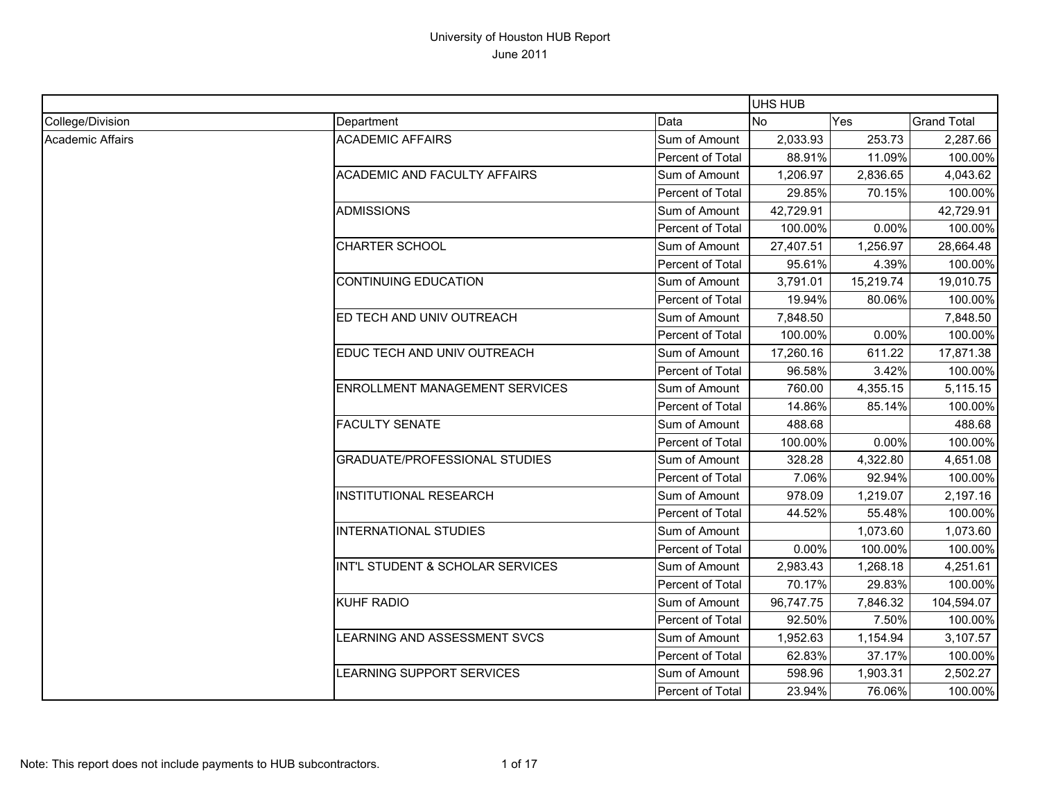|                  |                                       |                         | <b>UHS HUB</b> |           |                    |
|------------------|---------------------------------------|-------------------------|----------------|-----------|--------------------|
| College/Division | Department                            | Data                    | <b>No</b>      | Yes       | <b>Grand Total</b> |
| Academic Affairs | <b>ACADEMIC AFFAIRS</b>               | Sum of Amount           | 2,033.93       | 253.73    | 2,287.66           |
|                  |                                       | Percent of Total        | 88.91%         | 11.09%    | 100.00%            |
|                  | <b>ACADEMIC AND FACULTY AFFAIRS</b>   | Sum of Amount           | 1,206.97       | 2,836.65  | 4,043.62           |
|                  |                                       | Percent of Total        | 29.85%         | 70.15%    | 100.00%            |
|                  | <b>ADMISSIONS</b>                     | Sum of Amount           | 42,729.91      |           | 42,729.91          |
|                  |                                       | Percent of Total        | 100.00%        | 0.00%     | 100.00%            |
|                  | <b>CHARTER SCHOOL</b>                 | Sum of Amount           | 27,407.51      | 1,256.97  | 28,664.48          |
|                  |                                       | <b>Percent of Total</b> | 95.61%         | 4.39%     | 100.00%            |
|                  | <b>CONTINUING EDUCATION</b>           | Sum of Amount           | 3,791.01       | 15,219.74 | 19,010.75          |
|                  |                                       | Percent of Total        | 19.94%         | 80.06%    | 100.00%            |
|                  | ED TECH AND UNIV OUTREACH             | Sum of Amount           | 7,848.50       |           | 7,848.50           |
|                  |                                       | Percent of Total        | 100.00%        | 0.00%     | 100.00%            |
|                  | EDUC TECH AND UNIV OUTREACH           | Sum of Amount           | 17,260.16      | 611.22    | 17,871.38          |
|                  |                                       | Percent of Total        | 96.58%         | 3.42%     | 100.00%            |
|                  | <b>ENROLLMENT MANAGEMENT SERVICES</b> | Sum of Amount           | 760.00         | 4,355.15  | 5,115.15           |
|                  |                                       | <b>Percent of Total</b> | 14.86%         | 85.14%    | 100.00%            |
|                  | <b>FACULTY SENATE</b>                 | Sum of Amount           | 488.68         |           | 488.68             |
|                  |                                       | Percent of Total        | 100.00%        | 0.00%     | 100.00%            |
|                  | <b>GRADUATE/PROFESSIONAL STUDIES</b>  | Sum of Amount           | 328.28         | 4,322.80  | 4,651.08           |
|                  |                                       | Percent of Total        | 7.06%          | 92.94%    | 100.00%            |
|                  | <b>INSTITUTIONAL RESEARCH</b>         | Sum of Amount           | 978.09         | 1,219.07  | 2,197.16           |
|                  |                                       | Percent of Total        | 44.52%         | 55.48%    | 100.00%            |
|                  | <b>INTERNATIONAL STUDIES</b>          | Sum of Amount           |                | 1,073.60  | 1,073.60           |
|                  |                                       | Percent of Total        | 0.00%          | 100.00%   | 100.00%            |
|                  | INT'L STUDENT & SCHOLAR SERVICES      | Sum of Amount           | 2,983.43       | 1,268.18  | 4,251.61           |
|                  |                                       | Percent of Total        | 70.17%         | 29.83%    | 100.00%            |
|                  | <b>KUHF RADIO</b>                     | Sum of Amount           | 96,747.75      | 7,846.32  | 104,594.07         |
|                  |                                       | Percent of Total        | 92.50%         | 7.50%     | 100.00%            |
|                  | LEARNING AND ASSESSMENT SVCS          | Sum of Amount           | 1,952.63       | 1,154.94  | 3,107.57           |
|                  |                                       | Percent of Total        | 62.83%         | 37.17%    | 100.00%            |
|                  | LEARNING SUPPORT SERVICES             | Sum of Amount           | 598.96         | 1,903.31  | 2,502.27           |
|                  |                                       | Percent of Total        | 23.94%         | 76.06%    | 100.00%            |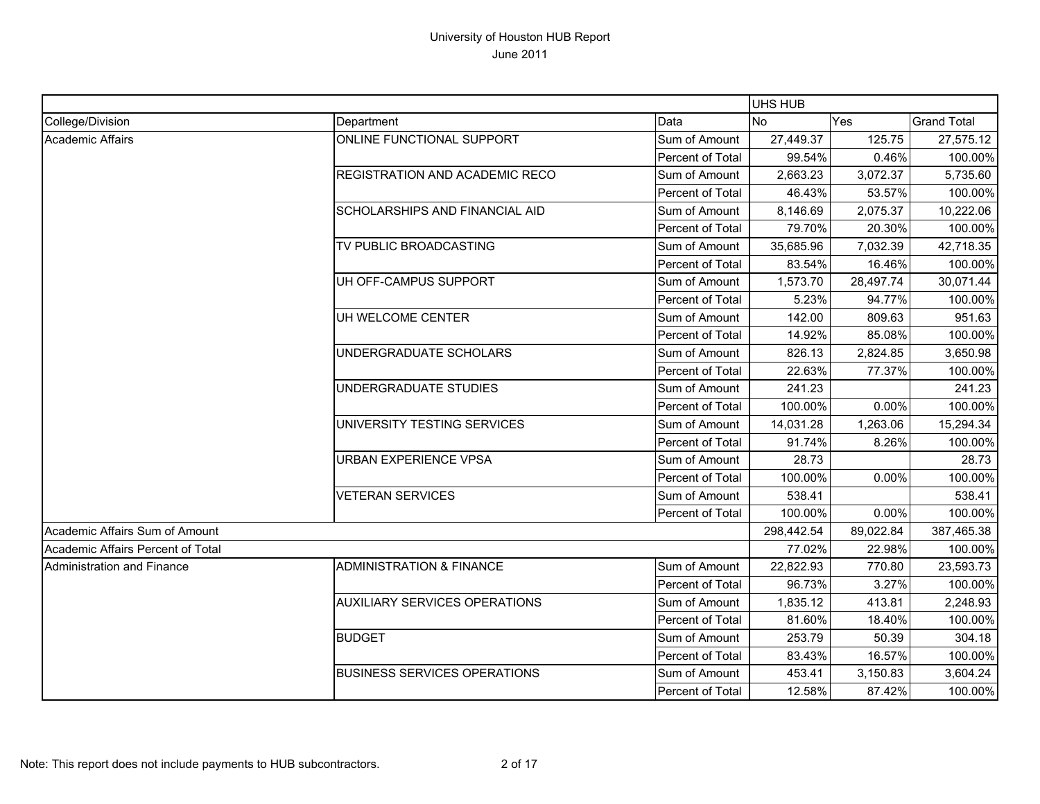|                                   |                                       |                  | UHS HUB    |           |                    |
|-----------------------------------|---------------------------------------|------------------|------------|-----------|--------------------|
| College/Division                  | Department                            | Data             | <b>No</b>  | Yes       | <b>Grand Total</b> |
| Academic Affairs                  | ONLINE FUNCTIONAL SUPPORT             | Sum of Amount    | 27,449.37  | 125.75    | 27,575.12          |
|                                   |                                       | Percent of Total | 99.54%     | 0.46%     | 100.00%            |
|                                   | REGISTRATION AND ACADEMIC RECO        | Sum of Amount    | 2,663.23   | 3,072.37  | 5,735.60           |
|                                   |                                       | Percent of Total | 46.43%     | 53.57%    | 100.00%            |
|                                   | <b>SCHOLARSHIPS AND FINANCIAL AID</b> | Sum of Amount    | 8,146.69   | 2,075.37  | 10,222.06          |
|                                   |                                       | Percent of Total | 79.70%     | 20.30%    | 100.00%            |
|                                   | TV PUBLIC BROADCASTING                | Sum of Amount    | 35,685.96  | 7,032.39  | 42,718.35          |
|                                   |                                       | Percent of Total | 83.54%     | 16.46%    | 100.00%            |
|                                   | UH OFF-CAMPUS SUPPORT                 | Sum of Amount    | 1,573.70   | 28,497.74 | 30,071.44          |
|                                   |                                       | Percent of Total | 5.23%      | 94.77%    | 100.00%            |
|                                   | UH WELCOME CENTER                     | Sum of Amount    | 142.00     | 809.63    | 951.63             |
|                                   |                                       | Percent of Total | 14.92%     | 85.08%    | 100.00%            |
|                                   | UNDERGRADUATE SCHOLARS                | Sum of Amount    | 826.13     | 2,824.85  | 3,650.98           |
|                                   |                                       | Percent of Total | 22.63%     | 77.37%    | 100.00%            |
|                                   | UNDERGRADUATE STUDIES                 | Sum of Amount    | 241.23     |           | 241.23             |
|                                   |                                       | Percent of Total | 100.00%    | 0.00%     | 100.00%            |
|                                   | UNIVERSITY TESTING SERVICES           | Sum of Amount    | 14,031.28  | 1,263.06  | 15,294.34          |
|                                   |                                       | Percent of Total | 91.74%     | 8.26%     | 100.00%            |
|                                   | <b>URBAN EXPERIENCE VPSA</b>          | Sum of Amount    | 28.73      |           | 28.73              |
|                                   |                                       | Percent of Total | 100.00%    | 0.00%     | 100.00%            |
|                                   | <b>VETERAN SERVICES</b>               | Sum of Amount    | 538.41     |           | 538.41             |
|                                   |                                       | Percent of Total | 100.00%    | 0.00%     | 100.00%            |
| Academic Affairs Sum of Amount    |                                       |                  | 298,442.54 | 89,022.84 | 387,465.38         |
| Academic Affairs Percent of Total |                                       |                  | 77.02%     | 22.98%    | 100.00%            |
| Administration and Finance        | <b>ADMINISTRATION &amp; FINANCE</b>   | Sum of Amount    | 22,822.93  | 770.80    | 23,593.73          |
|                                   |                                       | Percent of Total | 96.73%     | 3.27%     | 100.00%            |
|                                   | <b>AUXILIARY SERVICES OPERATIONS</b>  | Sum of Amount    | 1,835.12   | 413.81    | 2,248.93           |
|                                   |                                       | Percent of Total | 81.60%     | 18.40%    | 100.00%            |
|                                   | <b>BUDGET</b>                         | Sum of Amount    | 253.79     | 50.39     | 304.18             |
|                                   |                                       | Percent of Total | 83.43%     | 16.57%    | 100.00%            |
|                                   | <b>BUSINESS SERVICES OPERATIONS</b>   | Sum of Amount    | 453.41     | 3,150.83  | 3,604.24           |
|                                   |                                       | Percent of Total | 12.58%     | 87.42%    | 100.00%            |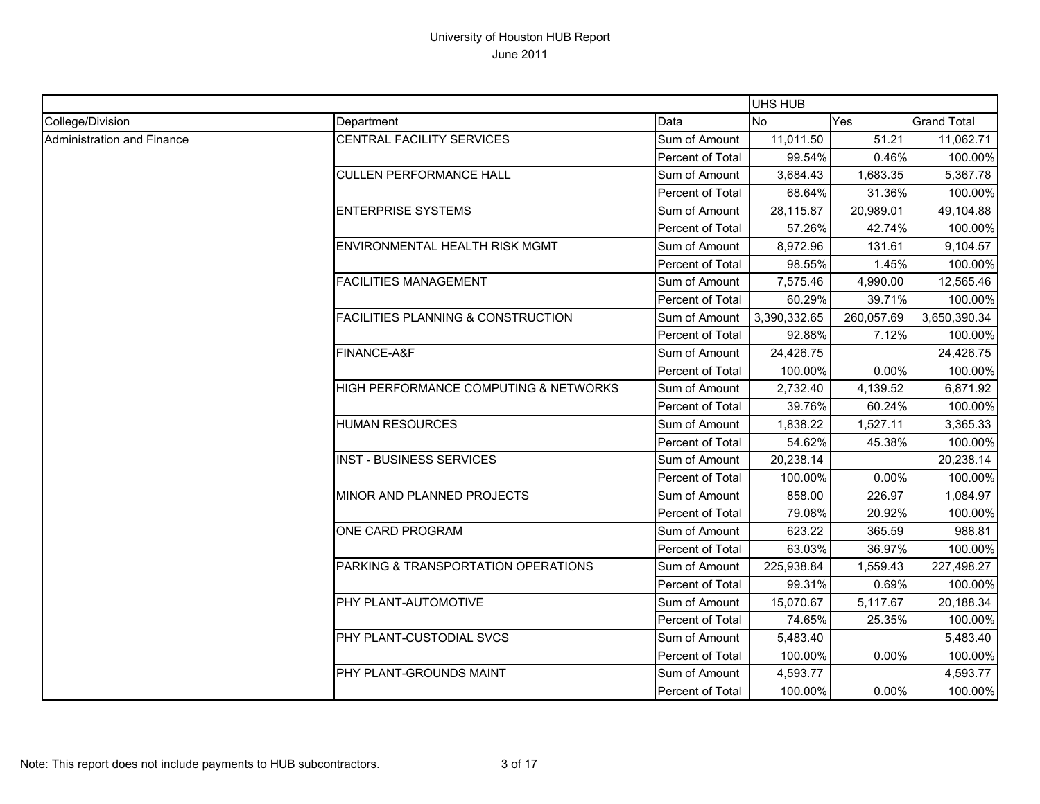|                            |                                                |                  | UHS HUB        |            |                    |
|----------------------------|------------------------------------------------|------------------|----------------|------------|--------------------|
| College/Division           | Department                                     | Data             | N <sub>O</sub> | Yes        | <b>Grand Total</b> |
| Administration and Finance | CENTRAL FACILITY SERVICES                      | Sum of Amount    | 11,011.50      | 51.21      | 11,062.71          |
|                            |                                                | Percent of Total | 99.54%         | 0.46%      | 100.00%            |
|                            | <b>CULLEN PERFORMANCE HALL</b>                 | Sum of Amount    | 3,684.43       | 1,683.35   | 5,367.78           |
|                            |                                                | Percent of Total | 68.64%         | 31.36%     | 100.00%            |
|                            | <b>ENTERPRISE SYSTEMS</b>                      | Sum of Amount    | 28,115.87      | 20,989.01  | 49,104.88          |
|                            |                                                | Percent of Total | 57.26%         | 42.74%     | 100.00%            |
|                            | <b>ENVIRONMENTAL HEALTH RISK MGMT</b>          | Sum of Amount    | 8,972.96       | 131.61     | 9,104.57           |
|                            |                                                | Percent of Total | 98.55%         | 1.45%      | 100.00%            |
|                            | <b>FACILITIES MANAGEMENT</b>                   | Sum of Amount    | 7,575.46       | 4,990.00   | 12,565.46          |
|                            |                                                | Percent of Total | 60.29%         | 39.71%     | 100.00%            |
|                            | <b>FACILITIES PLANNING &amp; CONSTRUCTION</b>  | Sum of Amount    | 3,390,332.65   | 260,057.69 | 3,650,390.34       |
|                            |                                                | Percent of Total | 92.88%         | 7.12%      | 100.00%            |
|                            | FINANCE-A&F                                    | Sum of Amount    | 24,426.75      |            | 24,426.75          |
|                            |                                                | Percent of Total | 100.00%        | 0.00%      | 100.00%            |
|                            | HIGH PERFORMANCE COMPUTING & NETWORKS          | Sum of Amount    | 2,732.40       | 4,139.52   | 6,871.92           |
|                            |                                                | Percent of Total | 39.76%         | 60.24%     | 100.00%            |
|                            | <b>HUMAN RESOURCES</b>                         | Sum of Amount    | 1,838.22       | 1,527.11   | 3,365.33           |
|                            |                                                | Percent of Total | 54.62%         | 45.38%     | 100.00%            |
|                            | <b>INST - BUSINESS SERVICES</b>                | Sum of Amount    | 20,238.14      |            | 20,238.14          |
|                            |                                                | Percent of Total | 100.00%        | 0.00%      | 100.00%            |
|                            | MINOR AND PLANNED PROJECTS                     | Sum of Amount    | 858.00         | 226.97     | 1,084.97           |
|                            |                                                | Percent of Total | 79.08%         | 20.92%     | 100.00%            |
|                            | <b>ONE CARD PROGRAM</b>                        | Sum of Amount    | 623.22         | 365.59     | 988.81             |
|                            |                                                | Percent of Total | 63.03%         | 36.97%     | 100.00%            |
|                            | <b>PARKING &amp; TRANSPORTATION OPERATIONS</b> | Sum of Amount    | 225,938.84     | 1,559.43   | 227,498.27         |
|                            |                                                | Percent of Total | 99.31%         | 0.69%      | 100.00%            |
|                            | PHY PLANT-AUTOMOTIVE                           | Sum of Amount    | 15,070.67      | 5,117.67   | 20,188.34          |
|                            |                                                | Percent of Total | 74.65%         | 25.35%     | 100.00%            |
|                            | PHY PLANT-CUSTODIAL SVCS                       | Sum of Amount    | 5,483.40       |            | 5,483.40           |
|                            |                                                | Percent of Total | 100.00%        | 0.00%      | 100.00%            |
|                            | PHY PLANT-GROUNDS MAINT                        | Sum of Amount    | 4,593.77       |            | 4,593.77           |
|                            |                                                | Percent of Total | 100.00%        | 0.00%      | 100.00%            |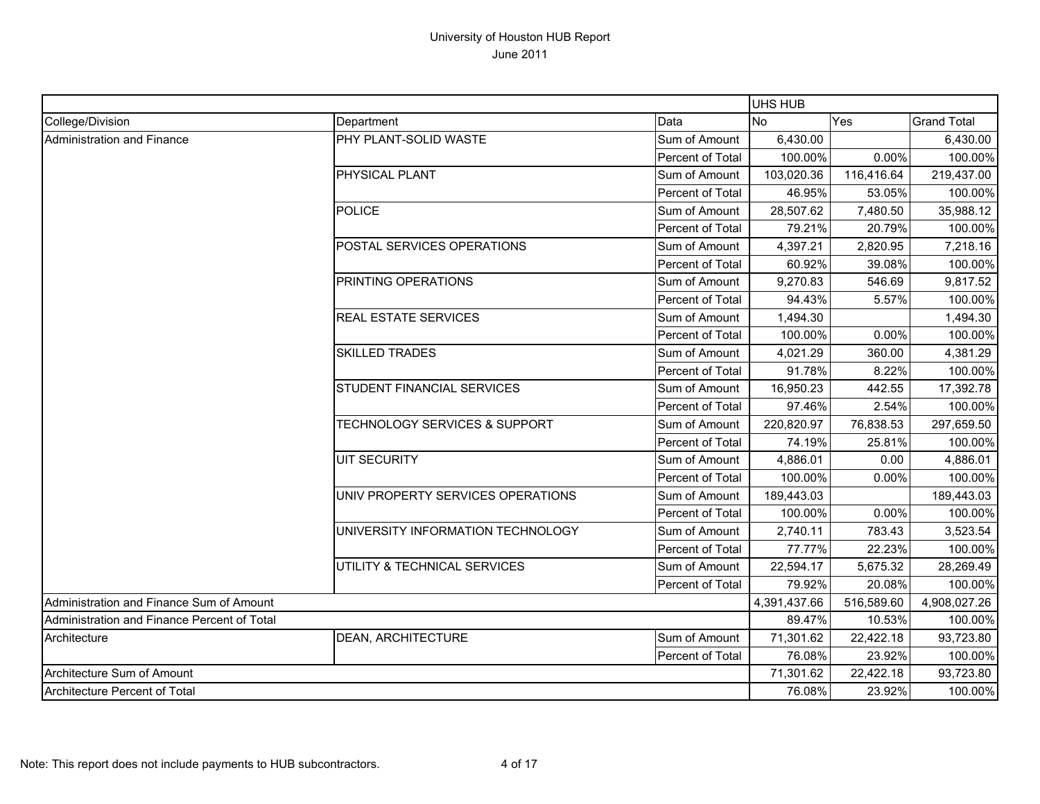|                                             |                                          |                  | UHS HUB      |            |                    |
|---------------------------------------------|------------------------------------------|------------------|--------------|------------|--------------------|
| College/Division                            | Department                               | Data             | No.          | Yes        | <b>Grand Total</b> |
| Administration and Finance                  | PHY PLANT-SOLID WASTE                    | Sum of Amount    | 6,430.00     |            | 6,430.00           |
|                                             |                                          | Percent of Total | 100.00%      | 0.00%      | 100.00%            |
|                                             | <b>PHYSICAL PLANT</b>                    | Sum of Amount    | 103,020.36   | 116,416.64 | 219,437.00         |
|                                             |                                          | Percent of Total | 46.95%       | 53.05%     | 100.00%            |
|                                             | <b>POLICE</b>                            | Sum of Amount    | 28,507.62    | 7,480.50   | 35,988.12          |
|                                             |                                          | Percent of Total | 79.21%       | 20.79%     | 100.00%            |
|                                             | POSTAL SERVICES OPERATIONS               | Sum of Amount    | 4,397.21     | 2,820.95   | 7,218.16           |
|                                             |                                          | Percent of Total | 60.92%       | 39.08%     | 100.00%            |
|                                             | PRINTING OPERATIONS                      | Sum of Amount    | 9,270.83     | 546.69     | 9,817.52           |
|                                             |                                          | Percent of Total | 94.43%       | 5.57%      | 100.00%            |
|                                             | <b>REAL ESTATE SERVICES</b>              | Sum of Amount    | 1,494.30     |            | 1,494.30           |
|                                             |                                          | Percent of Total | 100.00%      | 0.00%      | 100.00%            |
|                                             | <b>SKILLED TRADES</b>                    | Sum of Amount    | 4,021.29     | 360.00     | 4,381.29           |
|                                             |                                          | Percent of Total | 91.78%       | 8.22%      | 100.00%            |
|                                             | <b>STUDENT FINANCIAL SERVICES</b>        | Sum of Amount    | 16,950.23    | 442.55     | 17,392.78          |
|                                             |                                          | Percent of Total | 97.46%       | 2.54%      | 100.00%            |
|                                             | <b>TECHNOLOGY SERVICES &amp; SUPPORT</b> | Sum of Amount    | 220,820.97   | 76,838.53  | 297,659.50         |
|                                             |                                          | Percent of Total | 74.19%       | 25.81%     | 100.00%            |
|                                             | <b>UIT SECURITY</b>                      | Sum of Amount    | 4,886.01     | 0.00       | 4,886.01           |
|                                             |                                          | Percent of Total | 100.00%      | 0.00%      | 100.00%            |
|                                             | UNIV PROPERTY SERVICES OPERATIONS        | Sum of Amount    | 189,443.03   |            | 189,443.03         |
|                                             |                                          | Percent of Total | 100.00%      | 0.00%      | 100.00%            |
|                                             | UNIVERSITY INFORMATION TECHNOLOGY        | Sum of Amount    | 2,740.11     | 783.43     | 3,523.54           |
|                                             |                                          | Percent of Total | 77.77%       | 22.23%     | 100.00%            |
|                                             | UTILITY & TECHNICAL SERVICES             | Sum of Amount    | 22,594.17    | 5,675.32   | 28,269.49          |
|                                             |                                          | Percent of Total | 79.92%       | 20.08%     | 100.00%            |
| Administration and Finance Sum of Amount    |                                          |                  | 4,391,437.66 | 516,589.60 | 4,908,027.26       |
| Administration and Finance Percent of Total |                                          | 89.47%           | 10.53%       | 100.00%    |                    |
| Architecture                                | DEAN, ARCHITECTURE                       | Sum of Amount    | 71,301.62    | 22,422.18  | 93,723.80          |
|                                             |                                          | Percent of Total | 76.08%       | 23.92%     | 100.00%            |
| Architecture Sum of Amount                  |                                          |                  |              | 22,422.18  | 93,723.80          |
| Architecture Percent of Total               |                                          |                  | 76.08%       | 23.92%     | 100.00%            |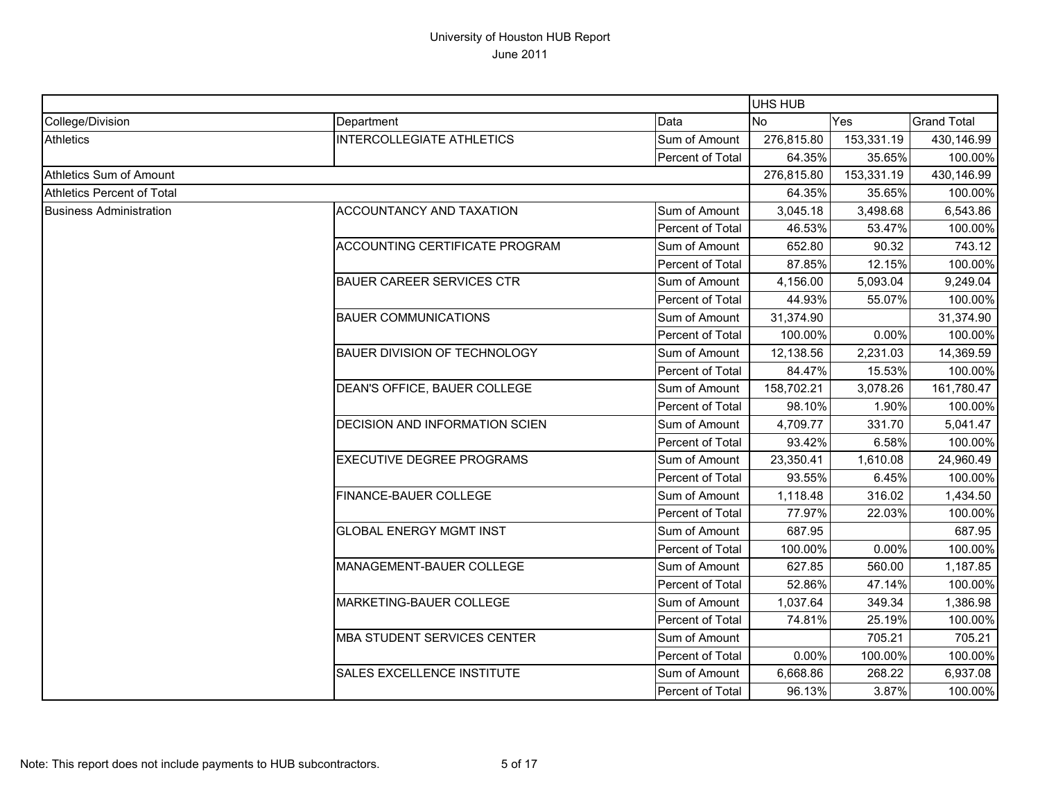|                            |                                       |                  | <b>UHS HUB</b> |            |                    |
|----------------------------|---------------------------------------|------------------|----------------|------------|--------------------|
| College/Division           | Department                            | Data             | <b>No</b>      | Yes        | <b>Grand Total</b> |
| <b>Athletics</b>           | <b>INTERCOLLEGIATE ATHLETICS</b>      | Sum of Amount    | 276,815.80     | 153,331.19 | 430,146.99         |
|                            |                                       | Percent of Total | 64.35%         | 35.65%     | 100.00%            |
| Athletics Sum of Amount    |                                       |                  | 276,815.80     | 153,331.19 | 430,146.99         |
| Athletics Percent of Total |                                       |                  | 64.35%         | 35.65%     | 100.00%            |
| Business Administration    | <b>ACCOUNTANCY AND TAXATION</b>       | Sum of Amount    | 3,045.18       | 3,498.68   | 6,543.86           |
|                            |                                       | Percent of Total | 46.53%         | 53.47%     | 100.00%            |
|                            | <b>ACCOUNTING CERTIFICATE PROGRAM</b> | Sum of Amount    | 652.80         | 90.32      | 743.12             |
|                            |                                       | Percent of Total | 87.85%         | 12.15%     | 100.00%            |
|                            | <b>BAUER CAREER SERVICES CTR</b>      | Sum of Amount    | 4,156.00       | 5,093.04   | 9,249.04           |
|                            |                                       | Percent of Total | 44.93%         | 55.07%     | 100.00%            |
|                            | <b>BAUER COMMUNICATIONS</b>           | Sum of Amount    | 31,374.90      |            | 31,374.90          |
|                            |                                       | Percent of Total | 100.00%        | 0.00%      | 100.00%            |
|                            | <b>BAUER DIVISION OF TECHNOLOGY</b>   | Sum of Amount    | 12,138.56      | 2,231.03   | 14,369.59          |
|                            |                                       | Percent of Total | 84.47%         | 15.53%     | 100.00%            |
|                            | DEAN'S OFFICE, BAUER COLLEGE          | Sum of Amount    | 158,702.21     | 3,078.26   | 161,780.47         |
|                            |                                       | Percent of Total | 98.10%         | 1.90%      | 100.00%            |
|                            | <b>DECISION AND INFORMATION SCIEN</b> | Sum of Amount    | 4,709.77       | 331.70     | 5,041.47           |
|                            |                                       | Percent of Total | 93.42%         | 6.58%      | 100.00%            |
|                            | <b>EXECUTIVE DEGREE PROGRAMS</b>      | Sum of Amount    | 23,350.41      | 1,610.08   | 24,960.49          |
|                            |                                       | Percent of Total | 93.55%         | 6.45%      | 100.00%            |
|                            | <b>FINANCE-BAUER COLLEGE</b>          | Sum of Amount    | 1,118.48       | 316.02     | 1,434.50           |
|                            |                                       | Percent of Total | 77.97%         | 22.03%     | 100.00%            |
|                            | <b>GLOBAL ENERGY MGMT INST</b>        | Sum of Amount    | 687.95         |            | 687.95             |
|                            |                                       | Percent of Total | 100.00%        | 0.00%      | 100.00%            |
|                            | MANAGEMENT-BAUER COLLEGE              | Sum of Amount    | 627.85         | 560.00     | 1,187.85           |
|                            |                                       | Percent of Total | 52.86%         | 47.14%     | 100.00%            |
|                            | MARKETING-BAUER COLLEGE               | Sum of Amount    | 1,037.64       | 349.34     | 1,386.98           |
|                            |                                       | Percent of Total | 74.81%         | 25.19%     | 100.00%            |
|                            | MBA STUDENT SERVICES CENTER           | Sum of Amount    |                | 705.21     | 705.21             |
|                            |                                       | Percent of Total | 0.00%          | 100.00%    | 100.00%            |
|                            | <b>SALES EXCELLENCE INSTITUTE</b>     | Sum of Amount    | 6,668.86       | 268.22     | 6,937.08           |
|                            |                                       | Percent of Total | 96.13%         | 3.87%      | 100.00%            |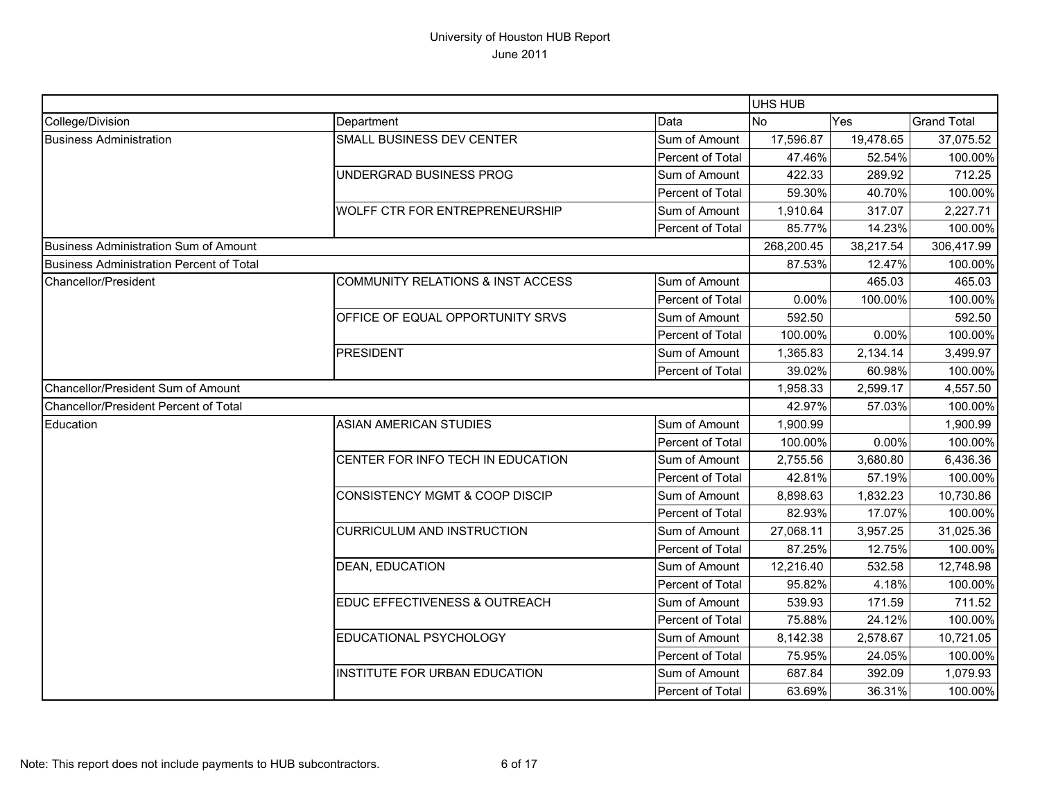|                                          |                                           |                         | <b>UHS HUB</b> |           |                    |
|------------------------------------------|-------------------------------------------|-------------------------|----------------|-----------|--------------------|
| College/Division                         | Department                                | Data                    | <b>No</b>      | Yes       | <b>Grand Total</b> |
| <b>Business Administration</b>           | SMALL BUSINESS DEV CENTER                 | Sum of Amount           | 17,596.87      | 19,478.65 | 37,075.52          |
|                                          |                                           | Percent of Total        | 47.46%         | 52.54%    | 100.00%            |
|                                          | UNDERGRAD BUSINESS PROG                   | Sum of Amount           | 422.33         | 289.92    | 712.25             |
|                                          |                                           | <b>Percent of Total</b> | 59.30%         | 40.70%    | 100.00%            |
|                                          | WOLFF CTR FOR ENTREPRENEURSHIP            | Sum of Amount           | 1,910.64       | 317.07    | 2,227.71           |
|                                          |                                           | Percent of Total        | 85.77%         | 14.23%    | 100.00%            |
| Business Administration Sum of Amount    |                                           |                         | 268,200.45     | 38,217.54 | 306,417.99         |
| Business Administration Percent of Total |                                           |                         | 87.53%         | 12.47%    | 100.00%            |
| Chancellor/President                     | COMMUNITY RELATIONS & INST ACCESS         | Sum of Amount           |                | 465.03    | 465.03             |
|                                          |                                           | Percent of Total        | 0.00%          | 100.00%   | 100.00%            |
|                                          | OFFICE OF EQUAL OPPORTUNITY SRVS          | Sum of Amount           | 592.50         |           | 592.50             |
|                                          |                                           | Percent of Total        | 100.00%        | 0.00%     | 100.00%            |
|                                          | <b>PRESIDENT</b>                          | Sum of Amount           | 1,365.83       | 2,134.14  | 3,499.97           |
|                                          |                                           | Percent of Total        | 39.02%         | 60.98%    | 100.00%            |
| Chancellor/President Sum of Amount       |                                           | 1,958.33                | 2,599.17       | 4,557.50  |                    |
| Chancellor/President Percent of Total    |                                           |                         | 42.97%         | 57.03%    | 100.00%            |
| Education                                | <b>ASIAN AMERICAN STUDIES</b>             | Sum of Amount           | 1,900.99       |           | 1,900.99           |
|                                          |                                           | Percent of Total        | 100.00%        | 0.00%     | 100.00%            |
|                                          | CENTER FOR INFO TECH IN EDUCATION         | Sum of Amount           | 2,755.56       | 3,680.80  | 6,436.36           |
|                                          |                                           | Percent of Total        | 42.81%         | 57.19%    | 100.00%            |
|                                          | <b>CONSISTENCY MGMT &amp; COOP DISCIP</b> | Sum of Amount           | 8,898.63       | 1,832.23  | 10,730.86          |
|                                          |                                           | Percent of Total        | 82.93%         | 17.07%    | 100.00%            |
|                                          | <b>CURRICULUM AND INSTRUCTION</b>         | Sum of Amount           | 27,068.11      | 3,957.25  | 31,025.36          |
|                                          |                                           | <b>Percent of Total</b> | 87.25%         | 12.75%    | 100.00%            |
|                                          | <b>DEAN, EDUCATION</b>                    | Sum of Amount           | 12,216.40      | 532.58    | 12,748.98          |
|                                          |                                           | Percent of Total        | 95.82%         | 4.18%     | 100.00%            |
|                                          | EDUC EFFECTIVENESS & OUTREACH             | Sum of Amount           | 539.93         | 171.59    | 711.52             |
|                                          |                                           | Percent of Total        | 75.88%         | 24.12%    | 100.00%            |
|                                          | EDUCATIONAL PSYCHOLOGY                    | Sum of Amount           | 8,142.38       | 2,578.67  | 10,721.05          |
|                                          |                                           | Percent of Total        | 75.95%         | 24.05%    | 100.00%            |
|                                          | INSTITUTE FOR URBAN EDUCATION             | Sum of Amount           | 687.84         | 392.09    | 1,079.93           |
|                                          |                                           | Percent of Total        | 63.69%         | 36.31%    | 100.00%            |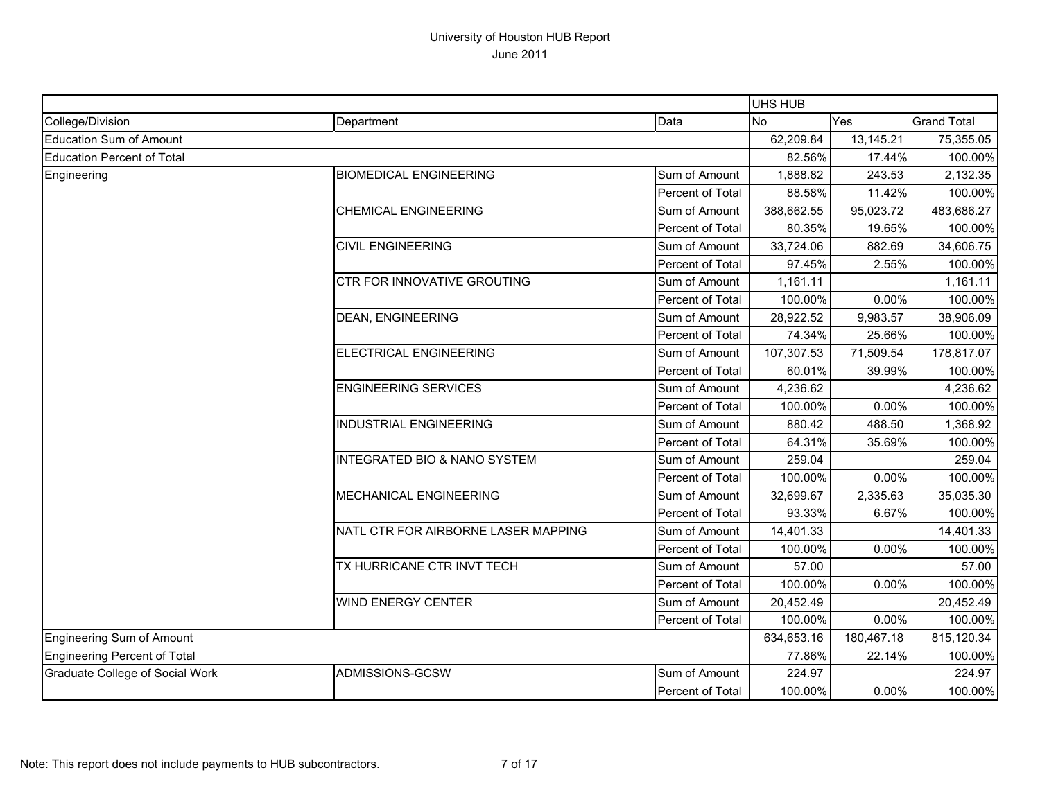|                                        |                                         |                  | UHS HUB    |            |                    |
|----------------------------------------|-----------------------------------------|------------------|------------|------------|--------------------|
| College/Division                       | Department                              | Data             | <b>No</b>  | Yes        | <b>Grand Total</b> |
| Education Sum of Amount                |                                         |                  | 62,209.84  | 13,145.21  | 75,355.05          |
| Education Percent of Total             |                                         |                  | 82.56%     | 17.44%     | 100.00%            |
| Engineering                            | <b>BIOMEDICAL ENGINEERING</b>           | Sum of Amount    | 1,888.82   | 243.53     | 2,132.35           |
|                                        |                                         | Percent of Total | 88.58%     | 11.42%     | 100.00%            |
|                                        | <b>CHEMICAL ENGINEERING</b>             | Sum of Amount    | 388,662.55 | 95,023.72  | 483,686.27         |
|                                        |                                         | Percent of Total | 80.35%     | 19.65%     | 100.00%            |
|                                        | <b>CIVIL ENGINEERING</b>                | Sum of Amount    | 33,724.06  | 882.69     | 34,606.75          |
|                                        |                                         | Percent of Total | 97.45%     | 2.55%      | 100.00%            |
|                                        | CTR FOR INNOVATIVE GROUTING             | Sum of Amount    | 1,161.11   |            | 1,161.11           |
|                                        |                                         | Percent of Total | 100.00%    | 0.00%      | 100.00%            |
|                                        | <b>DEAN, ENGINEERING</b>                | Sum of Amount    | 28,922.52  | 9,983.57   | 38,906.09          |
|                                        |                                         | Percent of Total | 74.34%     | 25.66%     | 100.00%            |
|                                        | <b>ELECTRICAL ENGINEERING</b>           | Sum of Amount    | 107,307.53 | 71,509.54  | 178,817.07         |
|                                        |                                         | Percent of Total | 60.01%     | 39.99%     | 100.00%            |
|                                        | <b>ENGINEERING SERVICES</b>             | Sum of Amount    | 4,236.62   |            | 4,236.62           |
|                                        |                                         | Percent of Total | 100.00%    | 0.00%      | 100.00%            |
|                                        | <b>INDUSTRIAL ENGINEERING</b>           | Sum of Amount    | 880.42     | 488.50     | 1,368.92           |
|                                        |                                         | Percent of Total | 64.31%     | 35.69%     | 100.00%            |
|                                        | <b>INTEGRATED BIO &amp; NANO SYSTEM</b> | Sum of Amount    | 259.04     |            | 259.04             |
|                                        |                                         | Percent of Total | 100.00%    | 0.00%      | 100.00%            |
|                                        | <b>MECHANICAL ENGINEERING</b>           | Sum of Amount    | 32,699.67  | 2,335.63   | 35,035.30          |
|                                        |                                         | Percent of Total | 93.33%     | 6.67%      | 100.00%            |
|                                        | NATL CTR FOR AIRBORNE LASER MAPPING     | Sum of Amount    | 14,401.33  |            | 14,401.33          |
|                                        |                                         | Percent of Total | 100.00%    | 0.00%      | 100.00%            |
|                                        | TX HURRICANE CTR INVT TECH              | Sum of Amount    | 57.00      |            | 57.00              |
|                                        |                                         | Percent of Total | 100.00%    | 0.00%      | 100.00%            |
|                                        | <b>WIND ENERGY CENTER</b>               | Sum of Amount    | 20,452.49  |            | 20,452.49          |
|                                        |                                         | Percent of Total | 100.00%    | 0.00%      | 100.00%            |
| Engineering Sum of Amount              |                                         |                  | 634,653.16 | 180,467.18 | 815,120.34         |
| Engineering Percent of Total           |                                         |                  | 77.86%     | 22.14%     | 100.00%            |
| <b>Graduate College of Social Work</b> | ADMISSIONS-GCSW                         | Sum of Amount    | 224.97     |            | 224.97             |
|                                        |                                         | Percent of Total | 100.00%    | 0.00%      | 100.00%            |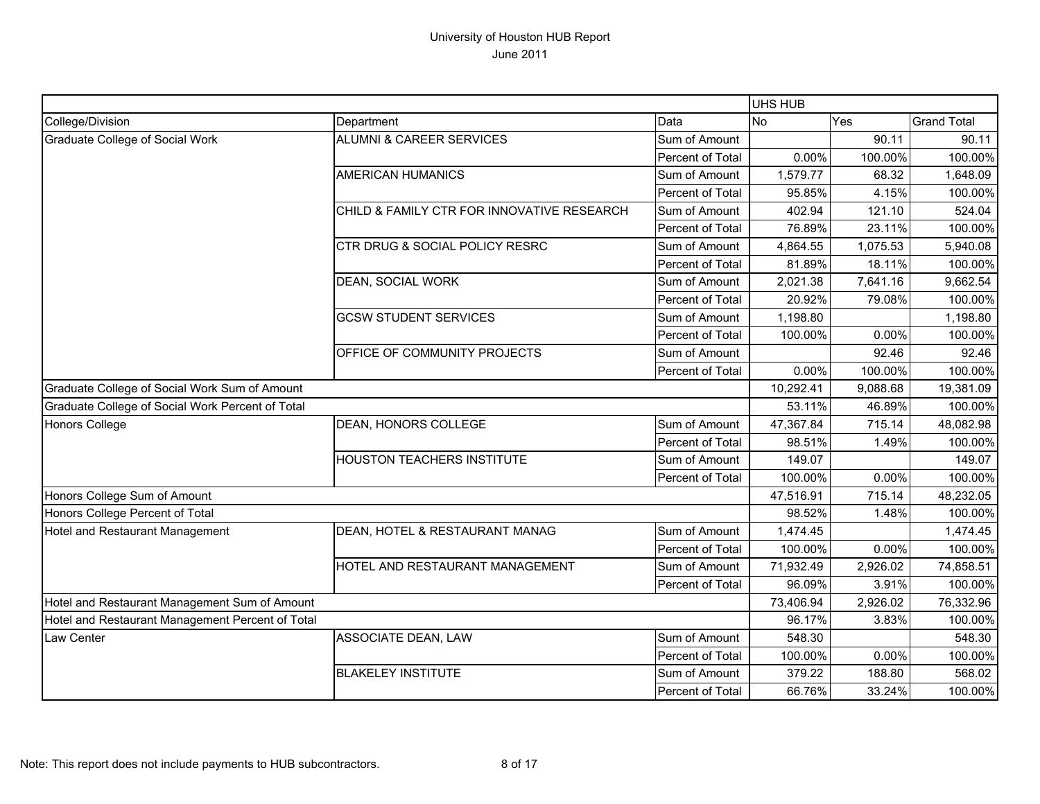|                                                  |                                            |                  | UHS HUB   |          |                    |
|--------------------------------------------------|--------------------------------------------|------------------|-----------|----------|--------------------|
| College/Division                                 | Department                                 | Data             | No        | Yes      | <b>Grand Total</b> |
| Graduate College of Social Work                  | <b>ALUMNI &amp; CAREER SERVICES</b>        | Sum of Amount    |           | 90.11    | 90.11              |
|                                                  |                                            | Percent of Total | 0.00%     | 100.00%  | 100.00%            |
|                                                  | <b>AMERICAN HUMANICS</b>                   | Sum of Amount    | 1,579.77  | 68.32    | 1,648.09           |
|                                                  |                                            | Percent of Total | 95.85%    | 4.15%    | 100.00%            |
|                                                  | CHILD & FAMILY CTR FOR INNOVATIVE RESEARCH | Sum of Amount    | 402.94    | 121.10   | 524.04             |
|                                                  |                                            | Percent of Total | 76.89%    | 23.11%   | 100.00%            |
|                                                  | <b>CTR DRUG &amp; SOCIAL POLICY RESRC</b>  | Sum of Amount    | 4,864.55  | 1,075.53 | 5,940.08           |
|                                                  |                                            | Percent of Total | 81.89%    | 18.11%   | 100.00%            |
|                                                  | DEAN, SOCIAL WORK                          | Sum of Amount    | 2,021.38  | 7,641.16 | 9,662.54           |
|                                                  |                                            | Percent of Total | 20.92%    | 79.08%   | 100.00%            |
|                                                  | <b>GCSW STUDENT SERVICES</b>               | Sum of Amount    | 1,198.80  |          | 1,198.80           |
|                                                  |                                            | Percent of Total | 100.00%   | 0.00%    | 100.00%            |
|                                                  | OFFICE OF COMMUNITY PROJECTS               | Sum of Amount    |           | 92.46    | 92.46              |
|                                                  |                                            | Percent of Total | 0.00%     | 100.00%  | 100.00%            |
| Graduate College of Social Work Sum of Amount    |                                            |                  | 10,292.41 | 9,088.68 | 19,381.09          |
| Graduate College of Social Work Percent of Total |                                            |                  | 53.11%    | 46.89%   | 100.00%            |
| Honors College                                   | <b>DEAN, HONORS COLLEGE</b>                | Sum of Amount    | 47,367.84 | 715.14   | 48,082.98          |
|                                                  |                                            | Percent of Total | 98.51%    | 1.49%    | 100.00%            |
|                                                  | <b>HOUSTON TEACHERS INSTITUTE</b>          | Sum of Amount    | 149.07    |          | 149.07             |
|                                                  |                                            | Percent of Total | 100.00%   | 0.00%    | 100.00%            |
| Honors College Sum of Amount                     |                                            |                  | 47,516.91 | 715.14   | 48,232.05          |
| Honors College Percent of Total                  |                                            |                  | 98.52%    | 1.48%    | 100.00%            |
| Hotel and Restaurant Management                  | DEAN, HOTEL & RESTAURANT MANAG             | Sum of Amount    | 1,474.45  |          | 1,474.45           |
|                                                  |                                            | Percent of Total | 100.00%   | $0.00\%$ | 100.00%            |
|                                                  | HOTEL AND RESTAURANT MANAGEMENT            | Sum of Amount    | 71,932.49 | 2,926.02 | 74,858.51          |
|                                                  |                                            | Percent of Total | 96.09%    | 3.91%    | 100.00%            |
| Hotel and Restaurant Management Sum of Amount    |                                            |                  | 73,406.94 | 2,926.02 | 76,332.96          |
| Hotel and Restaurant Management Percent of Total |                                            |                  | 96.17%    | 3.83%    | 100.00%            |
| Law Center                                       | ASSOCIATE DEAN, LAW                        | Sum of Amount    | 548.30    |          | 548.30             |
|                                                  |                                            | Percent of Total | 100.00%   | 0.00%    | 100.00%            |
|                                                  | <b>BLAKELEY INSTITUTE</b>                  | Sum of Amount    | 379.22    | 188.80   | 568.02             |
|                                                  |                                            | Percent of Total | 66.76%    | 33.24%   | 100.00%            |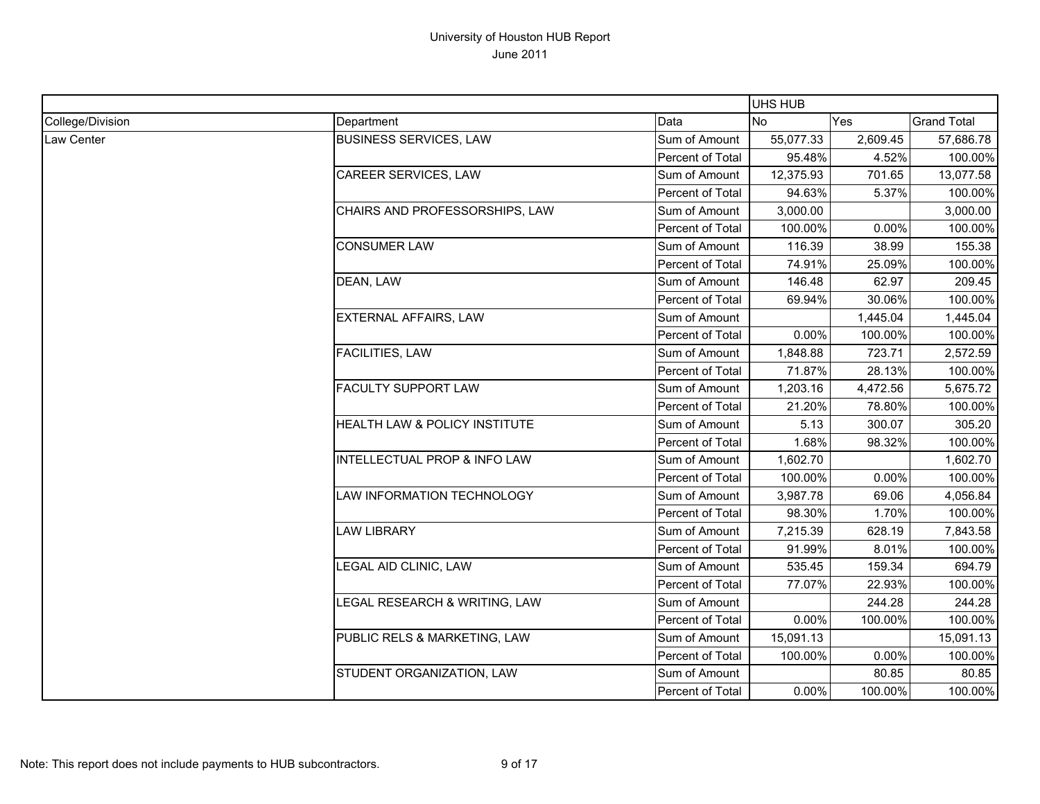|                  |                                |                         | <b>UHS HUB</b> |          |                    |
|------------------|--------------------------------|-------------------------|----------------|----------|--------------------|
| College/Division | Department                     | Data                    | <b>No</b>      | Yes      | <b>Grand Total</b> |
| Law Center       | <b>BUSINESS SERVICES, LAW</b>  | Sum of Amount           | 55,077.33      | 2,609.45 | 57,686.78          |
|                  |                                | Percent of Total        | 95.48%         | 4.52%    | 100.00%            |
|                  | <b>CAREER SERVICES, LAW</b>    | Sum of Amount           | 12,375.93      | 701.65   | 13,077.58          |
|                  |                                | Percent of Total        | 94.63%         | 5.37%    | 100.00%            |
|                  | CHAIRS AND PROFESSORSHIPS, LAW | Sum of Amount           | 3,000.00       |          | 3,000.00           |
|                  |                                | Percent of Total        | 100.00%        | 0.00%    | 100.00%            |
|                  | <b>CONSUMER LAW</b>            | Sum of Amount           | 116.39         | 38.99    | 155.38             |
|                  |                                | Percent of Total        | 74.91%         | 25.09%   | 100.00%            |
|                  | DEAN, LAW                      | Sum of Amount           | 146.48         | 62.97    | 209.45             |
|                  |                                | Percent of Total        | 69.94%         | 30.06%   | 100.00%            |
|                  | <b>EXTERNAL AFFAIRS, LAW</b>   | Sum of Amount           |                | 1,445.04 | 1,445.04           |
|                  |                                | Percent of Total        | 0.00%          | 100.00%  | 100.00%            |
|                  | <b>FACILITIES, LAW</b>         | Sum of Amount           | 1,848.88       | 723.71   | 2,572.59           |
|                  |                                | Percent of Total        | 71.87%         | 28.13%   | 100.00%            |
|                  | <b>FACULTY SUPPORT LAW</b>     | Sum of Amount           | 1,203.16       | 4,472.56 | 5,675.72           |
|                  |                                | Percent of Total        | 21.20%         | 78.80%   | 100.00%            |
|                  | HEALTH LAW & POLICY INSTITUTE  | Sum of Amount           | 5.13           | 300.07   | 305.20             |
|                  |                                | Percent of Total        | 1.68%          | 98.32%   | 100.00%            |
|                  | INTELLECTUAL PROP & INFO LAW   | Sum of Amount           | 1,602.70       |          | 1,602.70           |
|                  |                                | Percent of Total        | 100.00%        | 0.00%    | 100.00%            |
|                  | LAW INFORMATION TECHNOLOGY     | Sum of Amount           | 3,987.78       | 69.06    | 4,056.84           |
|                  |                                | Percent of Total        | 98.30%         | 1.70%    | 100.00%            |
|                  | <b>LAW LIBRARY</b>             | Sum of Amount           | 7,215.39       | 628.19   | 7,843.58           |
|                  |                                | Percent of Total        | 91.99%         | 8.01%    | 100.00%            |
|                  | LEGAL AID CLINIC, LAW          | Sum of Amount           | 535.45         | 159.34   | 694.79             |
|                  |                                | <b>Percent of Total</b> | 77.07%         | 22.93%   | 100.00%            |
|                  | LEGAL RESEARCH & WRITING, LAW  | Sum of Amount           |                | 244.28   | 244.28             |
|                  |                                | Percent of Total        | 0.00%          | 100.00%  | 100.00%            |
|                  | PUBLIC RELS & MARKETING, LAW   | Sum of Amount           | 15,091.13      |          | 15,091.13          |
|                  |                                | Percent of Total        | 100.00%        | 0.00%    | 100.00%            |
|                  | STUDENT ORGANIZATION, LAW      | Sum of Amount           |                | 80.85    | 80.85              |
|                  |                                | Percent of Total        | 0.00%          | 100.00%  | 100.00%            |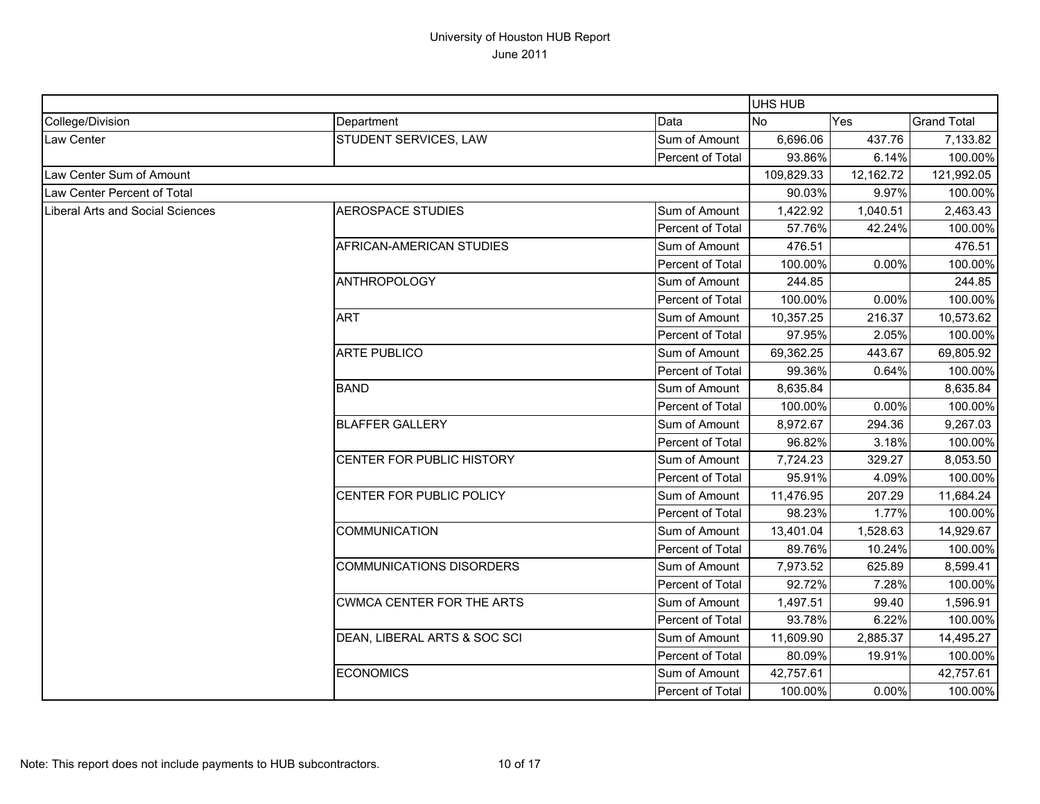|                                  |                                  |                         | <b>UHS HUB</b> |           |                    |
|----------------------------------|----------------------------------|-------------------------|----------------|-----------|--------------------|
| College/Division                 | Department                       | Data                    | <b>No</b>      | Yes       | <b>Grand Total</b> |
| Law Center                       | STUDENT SERVICES, LAW            | Sum of Amount           | 6,696.06       | 437.76    | 7,133.82           |
|                                  |                                  | <b>Percent of Total</b> | 93.86%         | 6.14%     | 100.00%            |
| Law Center Sum of Amount         |                                  |                         | 109,829.33     | 12,162.72 | 121,992.05         |
| Law Center Percent of Total      |                                  |                         | 90.03%         | 9.97%     | 100.00%            |
| Liberal Arts and Social Sciences | <b>AEROSPACE STUDIES</b>         | Sum of Amount           | 1,422.92       | 1,040.51  | 2,463.43           |
|                                  |                                  | Percent of Total        | 57.76%         | 42.24%    | 100.00%            |
|                                  | AFRICAN-AMERICAN STUDIES         | Sum of Amount           | 476.51         |           | 476.51             |
|                                  |                                  | Percent of Total        | 100.00%        | 0.00%     | 100.00%            |
|                                  | <b>ANTHROPOLOGY</b>              | Sum of Amount           | 244.85         |           | 244.85             |
|                                  |                                  | Percent of Total        | 100.00%        | 0.00%     | 100.00%            |
|                                  | <b>ART</b>                       | Sum of Amount           | 10,357.25      | 216.37    | 10,573.62          |
|                                  |                                  | Percent of Total        | 97.95%         | 2.05%     | 100.00%            |
|                                  | <b>ARTE PUBLICO</b>              | Sum of Amount           | 69,362.25      | 443.67    | 69,805.92          |
|                                  |                                  | Percent of Total        | 99.36%         | 0.64%     | 100.00%            |
|                                  | <b>BAND</b>                      | Sum of Amount           | 8,635.84       |           | 8,635.84           |
|                                  |                                  | Percent of Total        | 100.00%        | 0.00%     | 100.00%            |
|                                  | <b>BLAFFER GALLERY</b>           | Sum of Amount           | 8,972.67       | 294.36    | 9,267.03           |
|                                  |                                  | Percent of Total        | 96.82%         | 3.18%     | 100.00%            |
|                                  | CENTER FOR PUBLIC HISTORY        | Sum of Amount           | 7,724.23       | 329.27    | 8,053.50           |
|                                  |                                  | Percent of Total        | 95.91%         | 4.09%     | 100.00%            |
|                                  | CENTER FOR PUBLIC POLICY         | Sum of Amount           | 11,476.95      | 207.29    | 11,684.24          |
|                                  |                                  | Percent of Total        | 98.23%         | 1.77%     | 100.00%            |
|                                  | <b>COMMUNICATION</b>             | Sum of Amount           | 13,401.04      | 1,528.63  | 14,929.67          |
|                                  |                                  | Percent of Total        | 89.76%         | 10.24%    | 100.00%            |
|                                  | <b>COMMUNICATIONS DISORDERS</b>  | Sum of Amount           | 7,973.52       | 625.89    | 8,599.41           |
|                                  |                                  | Percent of Total        | 92.72%         | 7.28%     | 100.00%            |
|                                  | <b>CWMCA CENTER FOR THE ARTS</b> | Sum of Amount           | 1,497.51       | 99.40     | 1,596.91           |
|                                  |                                  | Percent of Total        | 93.78%         | 6.22%     | 100.00%            |
|                                  | DEAN, LIBERAL ARTS & SOC SCI     | Sum of Amount           | 11,609.90      | 2,885.37  | 14,495.27          |
|                                  |                                  | Percent of Total        | 80.09%         | 19.91%    | 100.00%            |
|                                  | <b>ECONOMICS</b>                 | Sum of Amount           | 42,757.61      |           | 42,757.61          |
|                                  |                                  | Percent of Total        | 100.00%        | 0.00%     | 100.00%            |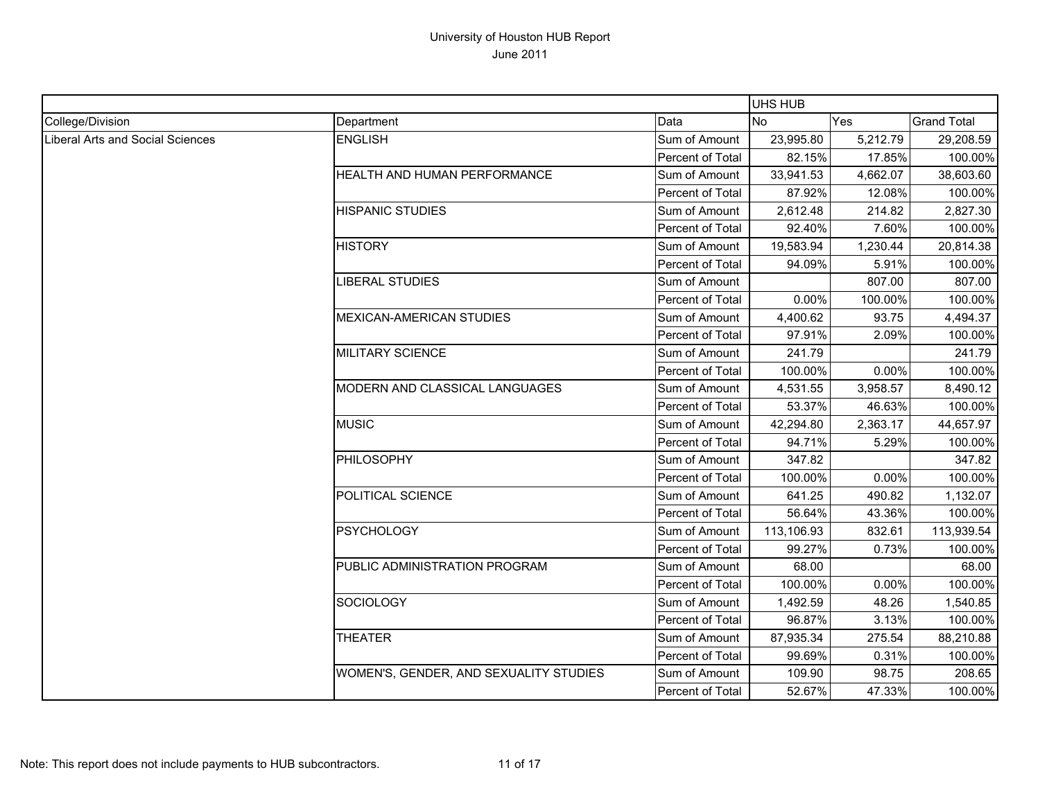|                                  |                                        |                         | <b>UHS HUB</b> |          |                    |
|----------------------------------|----------------------------------------|-------------------------|----------------|----------|--------------------|
| College/Division                 | Department                             | Data                    | No.            | Yes      | <b>Grand Total</b> |
| Liberal Arts and Social Sciences | <b>ENGLISH</b>                         | Sum of Amount           | 23,995.80      | 5,212.79 | 29,208.59          |
|                                  |                                        | Percent of Total        | 82.15%         | 17.85%   | 100.00%            |
|                                  | HEALTH AND HUMAN PERFORMANCE           | Sum of Amount           | 33,941.53      | 4,662.07 | 38,603.60          |
|                                  |                                        | Percent of Total        | 87.92%         | 12.08%   | 100.00%            |
|                                  | <b>HISPANIC STUDIES</b>                | Sum of Amount           | 2,612.48       | 214.82   | 2,827.30           |
|                                  |                                        | Percent of Total        | 92.40%         | 7.60%    | 100.00%            |
|                                  | <b>HISTORY</b>                         | Sum of Amount           | 19,583.94      | 1,230.44 | 20,814.38          |
|                                  |                                        | Percent of Total        | 94.09%         | 5.91%    | 100.00%            |
|                                  | <b>LIBERAL STUDIES</b>                 | Sum of Amount           |                | 807.00   | 807.00             |
|                                  |                                        | Percent of Total        | 0.00%          | 100.00%  | 100.00%            |
|                                  | <b>MEXICAN-AMERICAN STUDIES</b>        | Sum of Amount           | 4,400.62       | 93.75    | 4,494.37           |
|                                  |                                        | Percent of Total        | 97.91%         | 2.09%    | 100.00%            |
|                                  | <b>MILITARY SCIENCE</b>                | Sum of Amount           | 241.79         |          | 241.79             |
|                                  |                                        | <b>Percent of Total</b> | 100.00%        | 0.00%    | 100.00%            |
|                                  | MODERN AND CLASSICAL LANGUAGES         | Sum of Amount           | 4,531.55       | 3,958.57 | 8,490.12           |
|                                  |                                        | Percent of Total        | 53.37%         | 46.63%   | 100.00%            |
|                                  | <b>MUSIC</b>                           | Sum of Amount           | 42,294.80      | 2,363.17 | 44,657.97          |
|                                  |                                        | Percent of Total        | 94.71%         | 5.29%    | 100.00%            |
|                                  | PHILOSOPHY                             | Sum of Amount           | 347.82         |          | 347.82             |
|                                  |                                        | Percent of Total        | 100.00%        | 0.00%    | 100.00%            |
|                                  | POLITICAL SCIENCE                      | Sum of Amount           | 641.25         | 490.82   | 1,132.07           |
|                                  |                                        | Percent of Total        | 56.64%         | 43.36%   | 100.00%            |
|                                  | <b>PSYCHOLOGY</b>                      | Sum of Amount           | 113,106.93     | 832.61   | 113,939.54         |
|                                  |                                        | Percent of Total        | 99.27%         | 0.73%    | 100.00%            |
|                                  | PUBLIC ADMINISTRATION PROGRAM          | Sum of Amount           | 68.00          |          | 68.00              |
|                                  |                                        | Percent of Total        | 100.00%        | 0.00%    | 100.00%            |
|                                  | <b>SOCIOLOGY</b>                       | Sum of Amount           | 1,492.59       | 48.26    | 1,540.85           |
|                                  |                                        | Percent of Total        | 96.87%         | 3.13%    | 100.00%            |
|                                  | <b>THEATER</b>                         | Sum of Amount           | 87,935.34      | 275.54   | 88,210.88          |
|                                  |                                        | Percent of Total        | 99.69%         | 0.31%    | 100.00%            |
|                                  | WOMEN'S, GENDER, AND SEXUALITY STUDIES | Sum of Amount           | 109.90         | 98.75    | 208.65             |
|                                  |                                        | Percent of Total        | 52.67%         | 47.33%   | 100.00%            |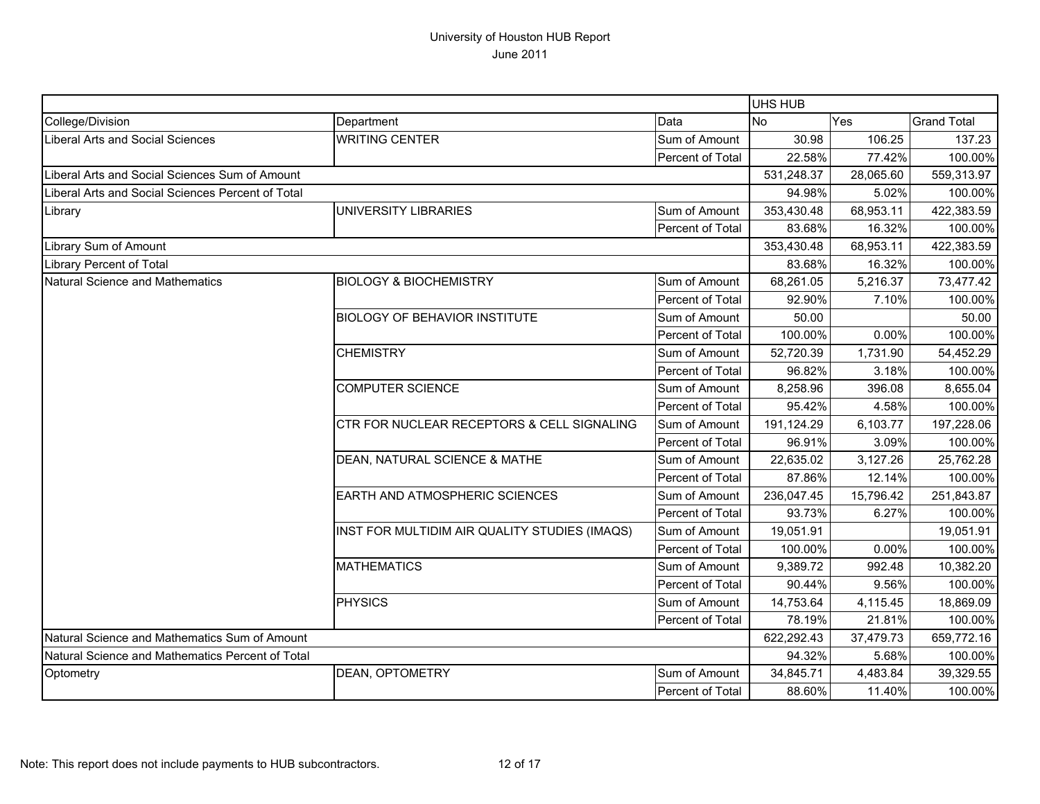|                                                   |                                               |                         | UHS HUB    |           |                    |
|---------------------------------------------------|-----------------------------------------------|-------------------------|------------|-----------|--------------------|
| College/Division                                  | Department                                    | Data                    | No         | Yes       | <b>Grand Total</b> |
| Liberal Arts and Social Sciences                  | <b>WRITING CENTER</b>                         | Sum of Amount           | 30.98      | 106.25    | 137.23             |
|                                                   |                                               | Percent of Total        | 22.58%     | 77.42%    | 100.00%            |
| Liberal Arts and Social Sciences Sum of Amount    |                                               |                         | 531,248.37 | 28,065.60 | 559,313.97         |
| Liberal Arts and Social Sciences Percent of Total |                                               |                         | 94.98%     | 5.02%     | 100.00%            |
| Library                                           | UNIVERSITY LIBRARIES                          | Sum of Amount           | 353,430.48 | 68,953.11 | 422,383.59         |
|                                                   |                                               | Percent of Total        | 83.68%     | 16.32%    | 100.00%            |
| Library Sum of Amount                             |                                               |                         | 353,430.48 | 68,953.11 | 422,383.59         |
| Library Percent of Total                          |                                               |                         | 83.68%     | 16.32%    | 100.00%            |
| Natural Science and Mathematics                   | <b>BIOLOGY &amp; BIOCHEMISTRY</b>             | Sum of Amount           | 68,261.05  | 5,216.37  | 73,477.42          |
|                                                   |                                               | Percent of Total        | 92.90%     | 7.10%     | 100.00%            |
|                                                   | <b>BIOLOGY OF BEHAVIOR INSTITUTE</b>          | Sum of Amount           | 50.00      |           | 50.00              |
|                                                   |                                               | Percent of Total        | 100.00%    | 0.00%     | 100.00%            |
|                                                   | <b>CHEMISTRY</b>                              | Sum of Amount           | 52,720.39  | 1,731.90  | 54,452.29          |
|                                                   |                                               | Percent of Total        | 96.82%     | 3.18%     | 100.00%            |
|                                                   | <b>COMPUTER SCIENCE</b>                       | Sum of Amount           | 8,258.96   | 396.08    | 8,655.04           |
|                                                   |                                               | Percent of Total        | 95.42%     | 4.58%     | 100.00%            |
|                                                   | CTR FOR NUCLEAR RECEPTORS & CELL SIGNALING    | Sum of Amount           | 191,124.29 | 6,103.77  | 197,228.06         |
|                                                   |                                               | Percent of Total        | 96.91%     | 3.09%     | 100.00%            |
|                                                   | DEAN, NATURAL SCIENCE & MATHE                 | Sum of Amount           | 22,635.02  | 3,127.26  | 25,762.28          |
|                                                   |                                               | Percent of Total        | 87.86%     | 12.14%    | 100.00%            |
|                                                   | <b>EARTH AND ATMOSPHERIC SCIENCES</b>         | Sum of Amount           | 236,047.45 | 15,796.42 | 251,843.87         |
|                                                   |                                               | Percent of Total        | 93.73%     | 6.27%     | 100.00%            |
|                                                   | INST FOR MULTIDIM AIR QUALITY STUDIES (IMAQS) | Sum of Amount           | 19,051.91  |           | 19,051.91          |
|                                                   |                                               | Percent of Total        | 100.00%    | 0.00%     | 100.00%            |
|                                                   | <b>MATHEMATICS</b>                            | Sum of Amount           | 9,389.72   | 992.48    | 10,382.20          |
|                                                   |                                               | Percent of Total        | 90.44%     | 9.56%     | 100.00%            |
|                                                   | <b>PHYSICS</b>                                | Sum of Amount           | 14,753.64  | 4,115.45  | 18,869.09          |
|                                                   |                                               | Percent of Total        | 78.19%     | 21.81%    | 100.00%            |
| Natural Science and Mathematics Sum of Amount     |                                               |                         | 622,292.43 | 37,479.73 | 659,772.16         |
| Natural Science and Mathematics Percent of Total  |                                               |                         | 94.32%     | 5.68%     | 100.00%            |
| Optometry                                         | <b>DEAN, OPTOMETRY</b>                        | Sum of Amount           | 34,845.71  | 4,483.84  | 39,329.55          |
|                                                   |                                               | <b>Percent of Total</b> | 88.60%     | 11.40%    | 100.00%            |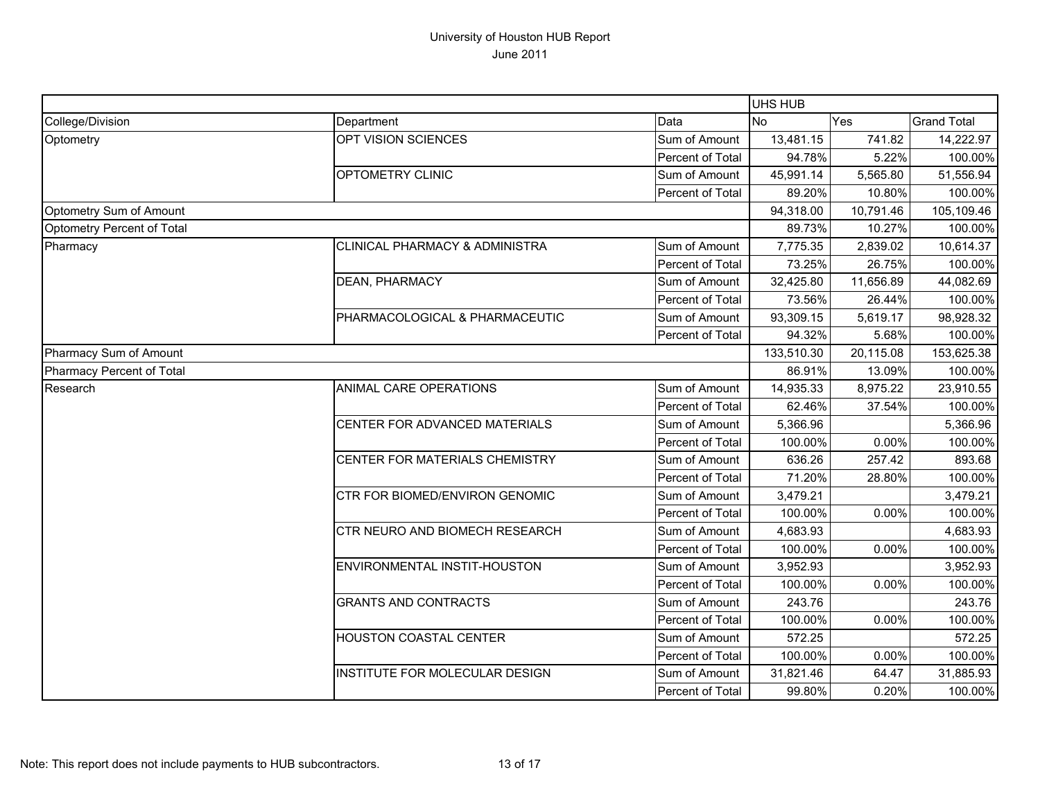|                            |                                           |                  | <b>UHS HUB</b> |           |                    |
|----------------------------|-------------------------------------------|------------------|----------------|-----------|--------------------|
| College/Division           | Department                                | Data             | <b>No</b>      | Yes       | <b>Grand Total</b> |
| Optometry                  | OPT VISION SCIENCES                       | Sum of Amount    | 13,481.15      | 741.82    | 14,222.97          |
|                            |                                           | Percent of Total | 94.78%         | 5.22%     | 100.00%            |
|                            | <b>OPTOMETRY CLINIC</b>                   | Sum of Amount    | 45,991.14      | 5,565.80  | 51,556.94          |
|                            |                                           | Percent of Total | 89.20%         | 10.80%    | 100.00%            |
| Optometry Sum of Amount    |                                           |                  | 94,318.00      | 10,791.46 | 105,109.46         |
| Optometry Percent of Total |                                           |                  | 89.73%         | 10.27%    | 100.00%            |
| Pharmacy                   | <b>CLINICAL PHARMACY &amp; ADMINISTRA</b> | Sum of Amount    | 7,775.35       | 2,839.02  | 10,614.37          |
|                            |                                           | Percent of Total | 73.25%         | 26.75%    | 100.00%            |
|                            | <b>DEAN, PHARMACY</b>                     | Sum of Amount    | 32,425.80      | 11,656.89 | 44,082.69          |
|                            |                                           | Percent of Total | 73.56%         | 26.44%    | 100.00%            |
|                            | PHARMACOLOGICAL & PHARMACEUTIC            | Sum of Amount    | 93,309.15      | 5,619.17  | 98,928.32          |
|                            |                                           | Percent of Total | 94.32%         | 5.68%     | 100.00%            |
| Pharmacy Sum of Amount     |                                           |                  | 133,510.30     | 20,115.08 | 153,625.38         |
| Pharmacy Percent of Total  |                                           |                  | 86.91%         | 13.09%    | 100.00%            |
| Research                   | ANIMAL CARE OPERATIONS                    | Sum of Amount    | 14,935.33      | 8,975.22  | 23,910.55          |
|                            |                                           | Percent of Total | 62.46%         | 37.54%    | 100.00%            |
|                            | CENTER FOR ADVANCED MATERIALS             | Sum of Amount    | 5,366.96       |           | 5,366.96           |
|                            |                                           | Percent of Total | 100.00%        | 0.00%     | 100.00%            |
|                            | CENTER FOR MATERIALS CHEMISTRY            | Sum of Amount    | 636.26         | 257.42    | 893.68             |
|                            |                                           | Percent of Total | 71.20%         | 28.80%    | 100.00%            |
|                            | <b>CTR FOR BIOMED/ENVIRON GENOMIC</b>     | Sum of Amount    | 3,479.21       |           | 3,479.21           |
|                            |                                           | Percent of Total | 100.00%        | 0.00%     | 100.00%            |
|                            | CTR NEURO AND BIOMECH RESEARCH            | Sum of Amount    | 4,683.93       |           | 4,683.93           |
|                            |                                           | Percent of Total | 100.00%        | 0.00%     | 100.00%            |
|                            | ENVIRONMENTAL INSTIT-HOUSTON              | Sum of Amount    | 3,952.93       |           | 3,952.93           |
|                            |                                           | Percent of Total | 100.00%        | 0.00%     | 100.00%            |
|                            | <b>GRANTS AND CONTRACTS</b>               | Sum of Amount    | 243.76         |           | 243.76             |
|                            |                                           | Percent of Total | 100.00%        | 0.00%     | 100.00%            |
|                            | <b>HOUSTON COASTAL CENTER</b>             | Sum of Amount    | 572.25         |           | 572.25             |
|                            |                                           | Percent of Total | 100.00%        | 0.00%     | 100.00%            |
|                            | <b>INSTITUTE FOR MOLECULAR DESIGN</b>     | Sum of Amount    | 31,821.46      | 64.47     | 31,885.93          |
|                            |                                           | Percent of Total | 99.80%         | 0.20%     | 100.00%            |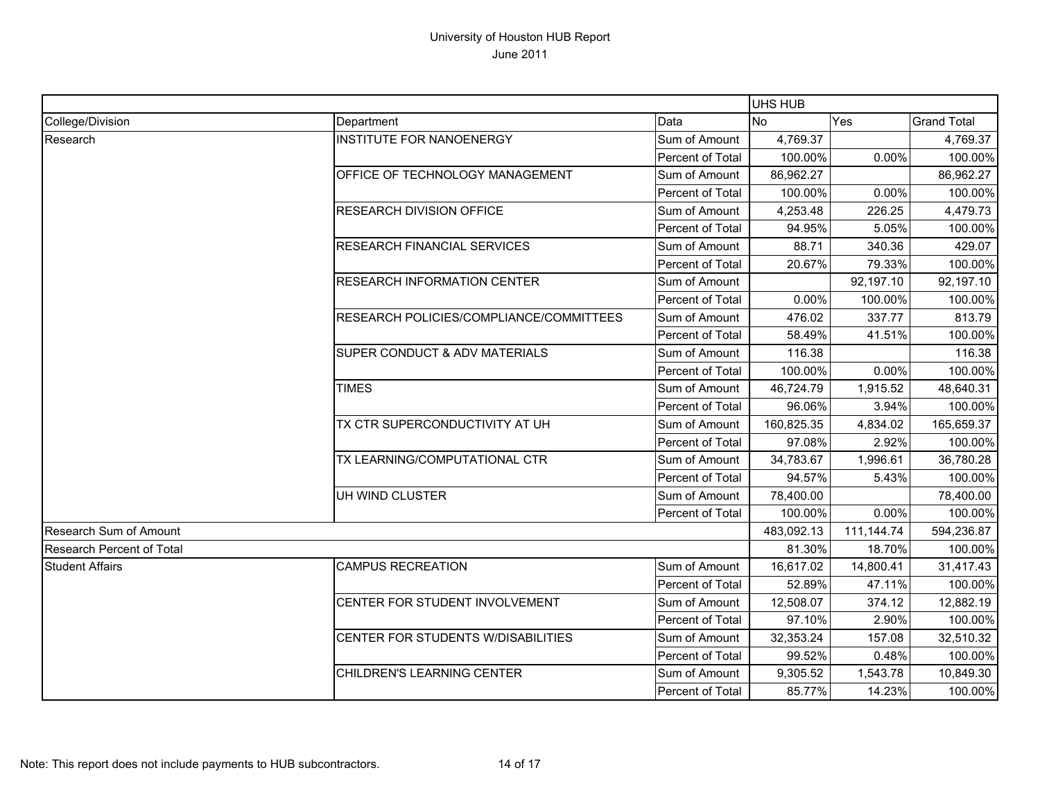|                                  |                                                                                                                                                                                           |                         | <b>UHS HUB</b> |            |                    |
|----------------------------------|-------------------------------------------------------------------------------------------------------------------------------------------------------------------------------------------|-------------------------|----------------|------------|--------------------|
| College/Division                 | Department                                                                                                                                                                                | Data                    | <b>No</b>      | Yes        | <b>Grand Total</b> |
| Research                         | <b>INSTITUTE FOR NANOENERGY</b>                                                                                                                                                           | Sum of Amount           | 4,769.37       |            | 4,769.37           |
|                                  |                                                                                                                                                                                           | Percent of Total        | 100.00%        | 0.00%      | 100.00%            |
|                                  | OFFICE OF TECHNOLOGY MANAGEMENT                                                                                                                                                           | Sum of Amount           | 86,962.27      |            | 86,962.27          |
|                                  |                                                                                                                                                                                           | Percent of Total        | 100.00%        | 0.00%      | 100.00%            |
|                                  | RESEARCH DIVISION OFFICE                                                                                                                                                                  | Sum of Amount           | 4,253.48       | 226.25     | 4,479.73           |
|                                  |                                                                                                                                                                                           | Percent of Total        | 94.95%         | 5.05%      | 100.00%            |
|                                  | <b>RESEARCH FINANCIAL SERVICES</b>                                                                                                                                                        | Sum of Amount           | 88.71          | 340.36     | 429.07             |
|                                  |                                                                                                                                                                                           | Percent of Total        | 20.67%         | 79.33%     | 100.00%            |
|                                  | RESEARCH INFORMATION CENTER                                                                                                                                                               | Sum of Amount           |                | 92,197.10  | 92,197.10          |
|                                  |                                                                                                                                                                                           | Percent of Total        | 0.00%          | 100.00%    | 100.00%            |
|                                  | RESEARCH POLICIES/COMPLIANCE/COMMITTEES<br><b>SUPER CONDUCT &amp; ADV MATERIALS</b><br><b>TIMES</b><br>TX CTR SUPERCONDUCTIVITY AT UH<br>TX LEARNING/COMPUTATIONAL CTR<br>UH WIND CLUSTER | Sum of Amount           | 476.02         | 337.77     | 813.79             |
|                                  |                                                                                                                                                                                           | Percent of Total        | 58.49%         | 41.51%     | 100.00%            |
|                                  |                                                                                                                                                                                           | Sum of Amount           | 116.38         |            | 116.38             |
|                                  |                                                                                                                                                                                           | Percent of Total        | 100.00%        | 0.00%      | 100.00%            |
|                                  |                                                                                                                                                                                           | Sum of Amount           | 46,724.79      | 1,915.52   | 48,640.31          |
|                                  |                                                                                                                                                                                           | Percent of Total        | 96.06%         | 3.94%      | 100.00%            |
|                                  |                                                                                                                                                                                           | Sum of Amount           | 160,825.35     | 4,834.02   | 165,659.37         |
|                                  |                                                                                                                                                                                           | <b>Percent of Total</b> | 97.08%         | 2.92%      | 100.00%            |
|                                  |                                                                                                                                                                                           | Sum of Amount           | 34,783.67      | 1,996.61   | 36,780.28          |
|                                  |                                                                                                                                                                                           | Percent of Total        | 94.57%         | 5.43%      | 100.00%            |
|                                  |                                                                                                                                                                                           | Sum of Amount           | 78,400.00      |            | 78,400.00          |
|                                  |                                                                                                                                                                                           | Percent of Total        | 100.00%        | 0.00%      | 100.00%            |
| <b>Research Sum of Amount</b>    |                                                                                                                                                                                           | 483,092.13              | 111,144.74     | 594,236.87 |                    |
| <b>Research Percent of Total</b> |                                                                                                                                                                                           |                         | 81.30%         | 18.70%     | 100.00%            |
| <b>Student Affairs</b>           | <b>CAMPUS RECREATION</b>                                                                                                                                                                  | Sum of Amount           | 16,617.02      | 14,800.41  | 31,417.43          |
|                                  |                                                                                                                                                                                           | Percent of Total        | 52.89%         | 47.11%     | 100.00%            |
|                                  | CENTER FOR STUDENT INVOLVEMENT                                                                                                                                                            | Sum of Amount           | 12,508.07      | 374.12     | 12,882.19          |
|                                  |                                                                                                                                                                                           | Percent of Total        | 97.10%         | 2.90%      | 100.00%            |
|                                  | CENTER FOR STUDENTS W/DISABILITIES                                                                                                                                                        | Sum of Amount           | 32,353.24      | 157.08     | 32,510.32          |
|                                  |                                                                                                                                                                                           | Percent of Total        | 99.52%         | 0.48%      | 100.00%            |
|                                  | CHILDREN'S LEARNING CENTER                                                                                                                                                                | Sum of Amount           | 9,305.52       | 1,543.78   | 10,849.30          |
|                                  |                                                                                                                                                                                           | Percent of Total        | 85.77%         | 14.23%     | 100.00%            |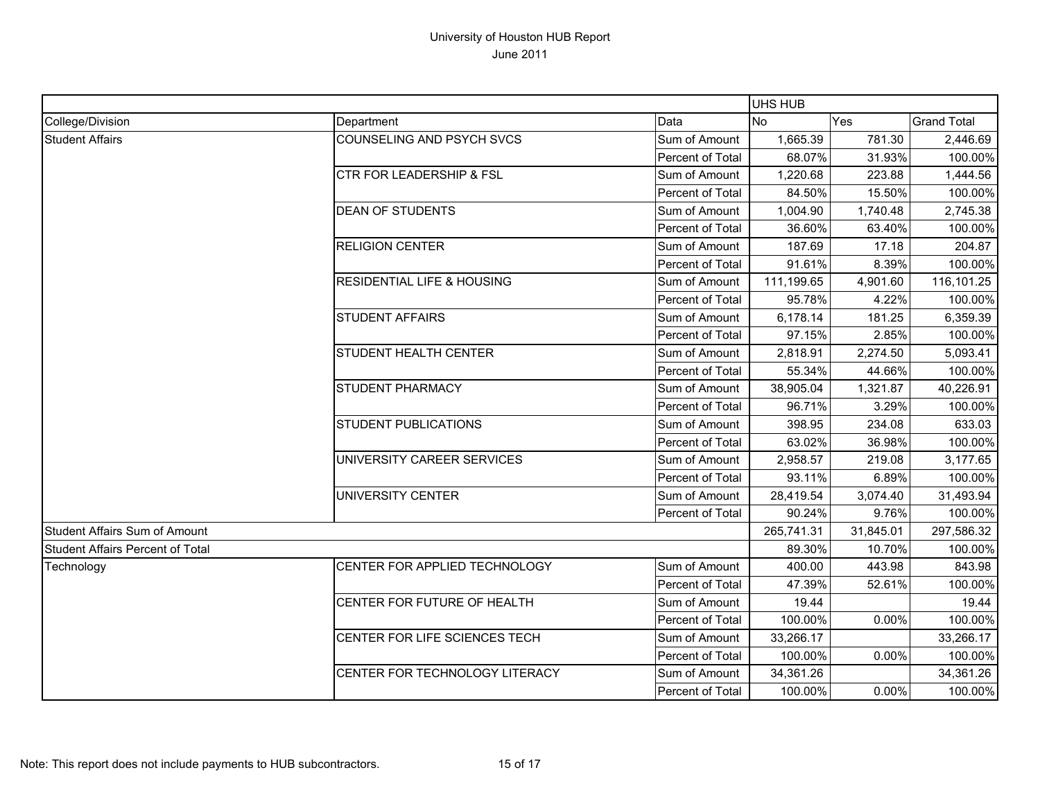|                                  |                                                                                                                                                                                                |                  | <b>UHS HUB</b> |                                                                                                                                                                          |                      |
|----------------------------------|------------------------------------------------------------------------------------------------------------------------------------------------------------------------------------------------|------------------|----------------|--------------------------------------------------------------------------------------------------------------------------------------------------------------------------|----------------------|
| College/Division                 | Department                                                                                                                                                                                     | Data             | No.            | Yes                                                                                                                                                                      | <b>Grand Total</b>   |
| <b>Student Affairs</b>           | <b>COUNSELING AND PSYCH SVCS</b>                                                                                                                                                               | Sum of Amount    | 1,665.39       | 781.30                                                                                                                                                                   | 2,446.69             |
|                                  |                                                                                                                                                                                                | Percent of Total | 68.07%         | 31.93%                                                                                                                                                                   | 100.00%              |
|                                  | <b>CTR FOR LEADERSHIP &amp; FSL</b>                                                                                                                                                            | Sum of Amount    | 1,220.68       | 223.88                                                                                                                                                                   | 1,444.56             |
|                                  |                                                                                                                                                                                                | Percent of Total | 84.50%         |                                                                                                                                                                          | 100.00%              |
|                                  | <b>DEAN OF STUDENTS</b>                                                                                                                                                                        | Sum of Amount    | 1,004.90       | 1,740.48                                                                                                                                                                 | 2,745.38             |
|                                  |                                                                                                                                                                                                | Percent of Total | 36.60%         |                                                                                                                                                                          | 100.00%              |
|                                  | <b>RELIGION CENTER</b>                                                                                                                                                                         | Sum of Amount    | 187.69         | 17.18                                                                                                                                                                    | 204.87               |
|                                  |                                                                                                                                                                                                | Percent of Total | 91.61%         |                                                                                                                                                                          | 100.00%              |
|                                  | <b>RESIDENTIAL LIFE &amp; HOUSING</b>                                                                                                                                                          | Sum of Amount    | 111,199.65     | 15.50%<br>63.40%<br>8.39%<br>4,901.60<br>4.22%<br>181.25<br>2.85%<br>2,274.50<br>44.66%<br>1,321.87<br>3.29%<br>234.08<br>36.98%<br>219.08<br>6.89%<br>3,074.40<br>9.76% | 116,101.25           |
|                                  |                                                                                                                                                                                                | Percent of Total | 95.78%         |                                                                                                                                                                          | 100.00%              |
|                                  | <b>STUDENT AFFAIRS</b>                                                                                                                                                                         | Sum of Amount    | 6,178.14       |                                                                                                                                                                          | 6,359.39             |
|                                  |                                                                                                                                                                                                | Percent of Total | 97.15%         |                                                                                                                                                                          | 100.00%              |
|                                  | <b>STUDENT HEALTH CENTER</b>                                                                                                                                                                   | Sum of Amount    | 2,818.91       |                                                                                                                                                                          | 5,093.41             |
|                                  |                                                                                                                                                                                                | Percent of Total | 55.34%         |                                                                                                                                                                          | 100.00%              |
|                                  |                                                                                                                                                                                                |                  | 38,905.04      |                                                                                                                                                                          |                      |
|                                  |                                                                                                                                                                                                | Percent of Total |                |                                                                                                                                                                          | 40,226.91<br>100.00% |
|                                  |                                                                                                                                                                                                | Sum of Amount    |                |                                                                                                                                                                          | 633.03               |
|                                  |                                                                                                                                                                                                | Percent of Total |                |                                                                                                                                                                          | 100.00%              |
|                                  | <b>STUDENT PHARMACY</b><br>Sum of Amount<br>96.71%<br><b>STUDENT PUBLICATIONS</b><br>398.95<br>63.02%<br>UNIVERSITY CAREER SERVICES<br>Sum of Amount<br>2,958.57<br>Percent of Total<br>93.11% |                  | 3,177.65       |                                                                                                                                                                          |                      |
|                                  |                                                                                                                                                                                                |                  |                |                                                                                                                                                                          | 100.00%              |
|                                  | UNIVERSITY CENTER                                                                                                                                                                              | Sum of Amount    | 28,419.54      |                                                                                                                                                                          | 31,493.94            |
|                                  |                                                                                                                                                                                                | Percent of Total | 90.24%         |                                                                                                                                                                          | 100.00%              |
| Student Affairs Sum of Amount    |                                                                                                                                                                                                | 265,741.31       | 31,845.01      | 297,586.32                                                                                                                                                               |                      |
| Student Affairs Percent of Total |                                                                                                                                                                                                |                  | 89.30%         | 10.70%                                                                                                                                                                   | 100.00%              |
| Technology                       | CENTER FOR APPLIED TECHNOLOGY                                                                                                                                                                  | Sum of Amount    | 400.00         | 443.98                                                                                                                                                                   | 843.98               |
|                                  |                                                                                                                                                                                                | Percent of Total | 47.39%         | 52.61%                                                                                                                                                                   | 100.00%              |
|                                  | CENTER FOR FUTURE OF HEALTH                                                                                                                                                                    | Sum of Amount    | 19.44          |                                                                                                                                                                          | 19.44                |
|                                  |                                                                                                                                                                                                | Percent of Total | 100.00%        | 0.00%                                                                                                                                                                    | 100.00%              |
|                                  | CENTER FOR LIFE SCIENCES TECH                                                                                                                                                                  | Sum of Amount    | 33,266.17      |                                                                                                                                                                          | 33,266.17            |
|                                  |                                                                                                                                                                                                | Percent of Total | 100.00%        | 0.00%                                                                                                                                                                    | 100.00%              |
|                                  | CENTER FOR TECHNOLOGY LITERACY                                                                                                                                                                 | Sum of Amount    | 34,361.26      |                                                                                                                                                                          | 34,361.26            |
|                                  |                                                                                                                                                                                                | Percent of Total | 100.00%        | 0.00%                                                                                                                                                                    | 100.00%              |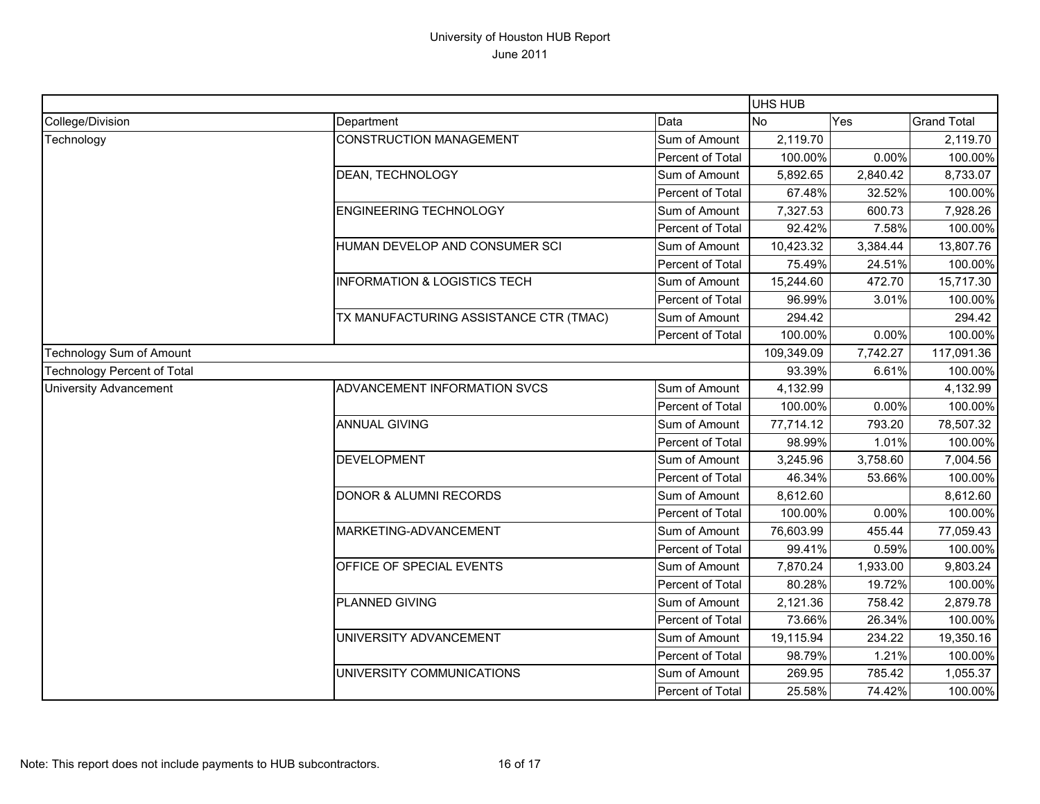|                                    |                                                                                                                                                      |                  | UHS HUB    |          |                                     |
|------------------------------------|------------------------------------------------------------------------------------------------------------------------------------------------------|------------------|------------|----------|-------------------------------------|
| College/Division                   | Department                                                                                                                                           | Data             | <b>No</b>  | Yes      | <b>Grand Total</b>                  |
| Technology                         | <b>CONSTRUCTION MANAGEMENT</b>                                                                                                                       | Sum of Amount    | 2,119.70   |          | 2,119.70                            |
|                                    |                                                                                                                                                      | Percent of Total | 100.00%    | 0.00%    | 100.00%                             |
|                                    | DEAN, TECHNOLOGY                                                                                                                                     | Sum of Amount    | 5,892.65   | 2,840.42 | 8,733.07                            |
|                                    |                                                                                                                                                      | Percent of Total | 67.48%     | 32.52%   | 100.00%                             |
|                                    | <b>ENGINEERING TECHNOLOGY</b>                                                                                                                        | Sum of Amount    | 7,327.53   | 600.73   | 7,928.26                            |
|                                    |                                                                                                                                                      | Percent of Total | 92.42%     | 7.58%    | 100.00%                             |
|                                    | HUMAN DEVELOP AND CONSUMER SCI                                                                                                                       | Sum of Amount    | 10,423.32  | 3,384.44 | 13,807.76                           |
|                                    |                                                                                                                                                      | Percent of Total | 75.49%     | 24.51%   | 100.00%                             |
|                                    | <b>INFORMATION &amp; LOGISTICS TECH</b>                                                                                                              | Sum of Amount    | 15,244.60  | 472.70   | 15,717.30                           |
|                                    |                                                                                                                                                      | Percent of Total | 96.99%     | 3.01%    | 100.00%                             |
|                                    | TX MANUFACTURING ASSISTANCE CTR (TMAC)                                                                                                               | Sum of Amount    | 294.42     |          | 294.42                              |
|                                    |                                                                                                                                                      | Percent of Total | 100.00%    | 0.00%    | 100.00%                             |
| Technology Sum of Amount           |                                                                                                                                                      |                  | 109,349.09 | 7,742.27 |                                     |
| <b>Technology Percent of Total</b> |                                                                                                                                                      |                  | 93.39%     | 6.61%    | 100.00%                             |
| <b>University Advancement</b>      | ADVANCEMENT INFORMATION SVCS                                                                                                                         | Sum of Amount    | 4,132.99   |          | 4,132.99                            |
|                                    |                                                                                                                                                      | Percent of Total | 100.00%    | 0.00%    | 100.00%                             |
|                                    | <b>ANNUAL GIVING</b>                                                                                                                                 | Sum of Amount    | 77,714.12  | 793.20   | 78,507.32                           |
|                                    |                                                                                                                                                      | Percent of Total | 98.99%     | 1.01%    | 100.00%                             |
|                                    | <b>DEVELOPMENT</b>                                                                                                                                   | Sum of Amount    | 3,245.96   | 3,758.60 | 7,004.56                            |
|                                    |                                                                                                                                                      | Percent of Total | 46.34%     | 53.66%   | 100.00%                             |
|                                    |                                                                                                                                                      | Sum of Amount    | 8,612.60   |          | 8,612.60                            |
|                                    |                                                                                                                                                      | Percent of Total | 100.00%    | 0.00%    | 100.00%                             |
|                                    | DONOR & ALUMNI RECORDS<br>MARKETING-ADVANCEMENT<br>OFFICE OF SPECIAL EVENTS<br>PLANNED GIVING<br>UNIVERSITY ADVANCEMENT<br>UNIVERSITY COMMUNICATIONS | Sum of Amount    | 76,603.99  | 455.44   |                                     |
|                                    |                                                                                                                                                      | Percent of Total | 99.41%     | 0.59%    | 100.00%                             |
|                                    |                                                                                                                                                      | Sum of Amount    | 7,870.24   | 1,933.00 | 117,091.36<br>77,059.43<br>9,803.24 |
|                                    |                                                                                                                                                      | Percent of Total | 80.28%     | 19.72%   | 100.00%                             |
|                                    |                                                                                                                                                      | Sum of Amount    | 2,121.36   | 758.42   | 2,879.78                            |
|                                    |                                                                                                                                                      | Percent of Total | 73.66%     | 26.34%   | 100.00%                             |
|                                    |                                                                                                                                                      | Sum of Amount    | 19,115.94  | 234.22   | 19,350.16                           |
|                                    |                                                                                                                                                      | Percent of Total | 98.79%     | 1.21%    | 100.00%                             |
|                                    |                                                                                                                                                      | Sum of Amount    | 269.95     | 785.42   | 1,055.37                            |
|                                    |                                                                                                                                                      | Percent of Total | 25.58%     | 74.42%   | 100.00%                             |